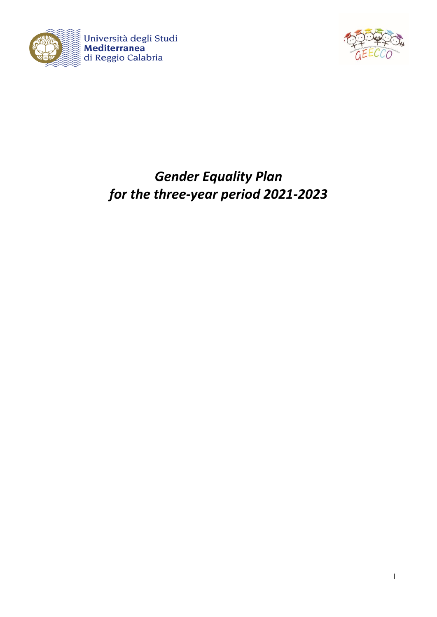



# *Gender Equality Plan for the three-year period 2021-2023*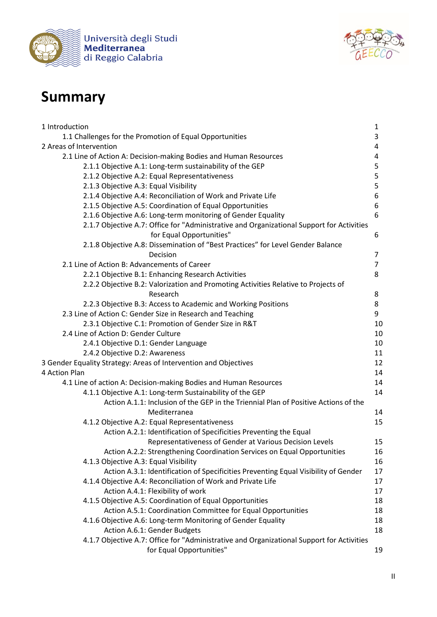



# **Summary**

| 1 Introduction                                                                            | $\mathbf{1}$   |
|-------------------------------------------------------------------------------------------|----------------|
| 1.1 Challenges for the Promotion of Equal Opportunities                                   | 3              |
| 2 Areas of Intervention                                                                   | 4              |
| 2.1 Line of Action A: Decision-making Bodies and Human Resources                          | 4              |
| 2.1.1 Objective A.1: Long-term sustainability of the GEP                                  | 5              |
| 2.1.2 Objective A.2: Equal Representativeness                                             | 5              |
| 2.1.3 Objective A.3: Equal Visibility                                                     | 5              |
| 2.1.4 Objective A.4: Reconciliation of Work and Private Life                              | 6              |
| 2.1.5 Objective A.5: Coordination of Equal Opportunities                                  | 6              |
| 2.1.6 Objective A.6: Long-term monitoring of Gender Equality                              | 6              |
| 2.1.7 Objective A.7: Office for "Administrative and Organizational Support for Activities |                |
| for Equal Opportunities"                                                                  | 6              |
| 2.1.8 Objective A.8: Dissemination of "Best Practices" for Level Gender Balance           |                |
| Decision                                                                                  | 7              |
| 2.1 Line of Action B: Advancements of Career                                              | $\overline{7}$ |
| 2.2.1 Objective B.1: Enhancing Research Activities                                        | 8              |
| 2.2.2 Objective B.2: Valorization and Promoting Activities Relative to Projects of        |                |
| Research                                                                                  | 8              |
| 2.2.3 Objective B.3: Access to Academic and Working Positions                             | 8              |
| 2.3 Line of Action C: Gender Size in Research and Teaching                                | 9              |
| 2.3.1 Objective C.1: Promotion of Gender Size in R&T                                      | 10             |
| 2.4 Line of Action D: Gender Culture                                                      | 10             |
| 2.4.1 Objective D.1: Gender Language                                                      | 10             |
| 2.4.2 Objective D.2: Awareness                                                            | 11             |
| 3 Gender Equality Strategy: Areas of Intervention and Objectives                          | 12             |
| 4 Action Plan                                                                             | 14             |
| 4.1 Line of action A: Decision-making Bodies and Human Resources                          | 14             |
| 4.1.1 Objective A.1: Long-term Sustainability of the GEP                                  | 14             |
| Action A.1.1: Inclusion of the GEP in the Triennial Plan of Positive Actions of the       |                |
| Mediterranea                                                                              | 14             |
| 4.1.2 Objective A.2: Equal Representativeness                                             | 15             |
| Action A.2.1: Identification of Specificities Preventing the Equal                        |                |
| Representativeness of Gender at Various Decision Levels                                   | 15             |
| Action A.2.2: Strengthening Coordination Services on Equal Opportunities                  | 16             |
| 4.1.3 Objective A.3: Equal Visibility                                                     | 16             |
| Action A.3.1: Identification of Specificities Preventing Equal Visibility of Gender       | 17             |
| 4.1.4 Objective A.4: Reconciliation of Work and Private Life                              | 17             |
| Action A.4.1: Flexibility of work                                                         | 17             |
| 4.1.5 Objective A.5: Coordination of Equal Opportunities                                  | 18             |
| Action A.5.1: Coordination Committee for Equal Opportunities                              | 18             |
| 4.1.6 Objective A.6: Long-term Monitoring of Gender Equality                              | 18             |
| Action A.6.1: Gender Budgets                                                              | 18             |
| 4.1.7 Objective A.7: Office for "Administrative and Organizational Support for Activities |                |
| for Equal Opportunities"                                                                  | 19             |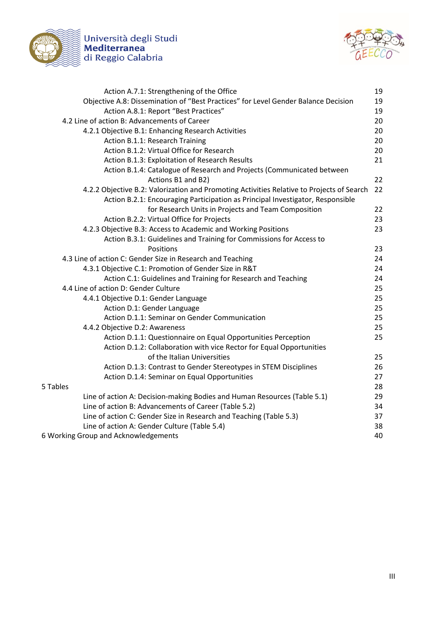

Università degli Studi<br>**Mediterranea**<br>di Reggio Calabria



| Action A.7.1: Strengthening of the Office                                                 | 19 |
|-------------------------------------------------------------------------------------------|----|
| Objective A.8: Dissemination of "Best Practices" for Level Gender Balance Decision        | 19 |
| Action A.8.1: Report "Best Practices"                                                     | 19 |
| 4.2 Line of action B: Advancements of Career                                              | 20 |
| 4.2.1 Objective B.1: Enhancing Research Activities                                        | 20 |
| Action B.1.1: Research Training                                                           | 20 |
| Action B.1.2: Virtual Office for Research                                                 | 20 |
| Action B.1.3: Exploitation of Research Results                                            | 21 |
| Action B.1.4: Catalogue of Research and Projects (Communicated between                    |    |
| Actions B1 and B2)                                                                        | 22 |
| 4.2.2 Objective B.2: Valorization and Promoting Activities Relative to Projects of Search | 22 |
| Action B.2.1: Encouraging Participation as Principal Investigator, Responsible            |    |
| for Research Units in Projects and Team Composition                                       | 22 |
| Action B.2.2: Virtual Office for Projects                                                 | 23 |
| 4.2.3 Objective B.3: Access to Academic and Working Positions                             | 23 |
| Action B.3.1: Guidelines and Training for Commissions for Access to                       |    |
| Positions                                                                                 | 23 |
| 4.3 Line of action C: Gender Size in Research and Teaching                                | 24 |
| 4.3.1 Objective C.1: Promotion of Gender Size in R&T                                      | 24 |
| Action C.1: Guidelines and Training for Research and Teaching                             | 24 |
| 4.4 Line of action D: Gender Culture                                                      | 25 |
| 4.4.1 Objective D.1: Gender Language                                                      | 25 |
| Action D.1: Gender Language                                                               | 25 |
| Action D.1.1: Seminar on Gender Communication                                             | 25 |
| 4.4.2 Objective D.2: Awareness                                                            | 25 |
| Action D.1.1: Questionnaire on Equal Opportunities Perception                             | 25 |
| Action D.1.2: Collaboration with vice Rector for Equal Opportunities                      |    |
| of the Italian Universities                                                               | 25 |
| Action D.1.3: Contrast to Gender Stereotypes in STEM Disciplines                          | 26 |
| Action D.1.4: Seminar on Equal Opportunities                                              | 27 |
| 5 Tables                                                                                  | 28 |
| Line of action A: Decision-making Bodies and Human Resources (Table 5.1)                  | 29 |
| Line of action B: Advancements of Career (Table 5.2)                                      | 34 |
| Line of action C: Gender Size in Research and Teaching (Table 5.3)                        | 37 |
| Line of action A: Gender Culture (Table 5.4)                                              | 38 |
| 6 Working Group and Acknowledgements                                                      | 40 |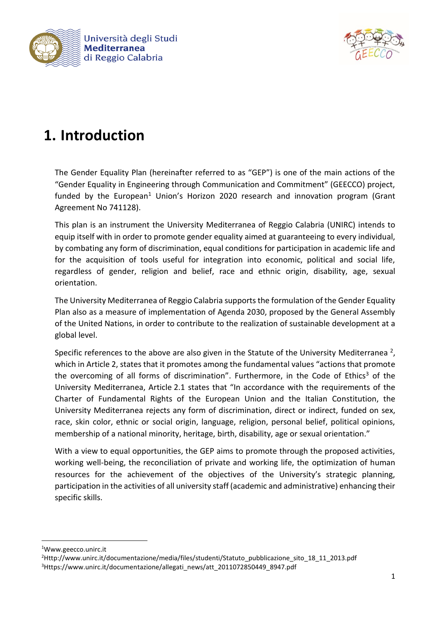



# **1. Introduction**

The Gender Equality Plan (hereinafter referred to as "GEP") is one of the main actions of the "Gender Equality in Engineering through Communication and Commitment" (GEECCO) project, funded by the European<sup>1</sup> Union's Horizon 2020 research and innovation program (Grant Agreement No 741128).

This plan is an instrument the University Mediterranea of Reggio Calabria (UNIRC) intends to equip itself with in order to promote gender equality aimed at guaranteeing to every individual, by combating any form of discrimination, equal conditions for participation in academic life and for the acquisition of tools useful for integration into economic, political and social life, regardless of gender, religion and belief, race and ethnic origin, disability, age, sexual orientation.

The University Mediterranea of Reggio Calabria supports the formulation of the Gender Equality Plan also as a measure of implementation of Agenda 2030, proposed by the General Assembly of the United Nations, in order to contribute to the realization of sustainable development at a global level.

Specific references to the above are also given in the Statute of the University Mediterranea<sup>2</sup>, which in Article 2, states that it promotes among the fundamental values "actions that promote the overcoming of all forms of discrimination". Furthermore, in the Code of Ethics<sup>3</sup> of the University Mediterranea, Article 2.1 states that "In accordance with the requirements of the Charter of Fundamental Rights of the European Union and the Italian Constitution, the University Mediterranea rejects any form of discrimination, direct or indirect, funded on sex, race, skin color, ethnic or social origin, language, religion, personal belief, political opinions, membership of a national minority, heritage, birth, disability, age or sexual orientation."

With a view to equal opportunities, the GEP aims to promote through the proposed activities, working well-being, the reconciliation of private and working life, the optimization of human resources for the achievement of the objectives of the University's strategic planning, participation in the activities of all university staff (academic and administrative) enhancing their specific skills.

**.** 

<sup>1</sup>Www.geecco.unirc.it

<sup>2</sup>Http://www.unirc.it/documentazione/media/files/studenti/Statuto\_pubblicazione\_sito\_18\_11\_2013.pdf 3Https://www.unirc.it/documentazione/allegati\_news/att\_2011072850449\_8947.pdf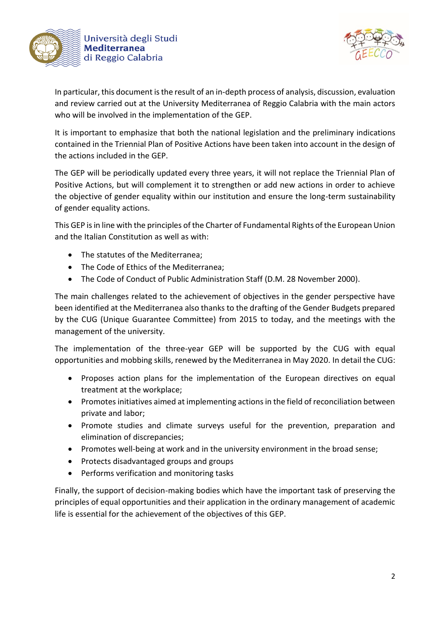



In particular, this document is the result of an in-depth process of analysis, discussion, evaluation and review carried out at the University Mediterranea of Reggio Calabria with the main actors who will be involved in the implementation of the GEP.

It is important to emphasize that both the national legislation and the preliminary indications contained in the Triennial Plan of Positive Actions have been taken into account in the design of the actions included in the GEP.

The GEP will be periodically updated every three years, it will not replace the Triennial Plan of Positive Actions, but will complement it to strengthen or add new actions in order to achieve the objective of gender equality within our institution and ensure the long-term sustainability of gender equality actions.

This GEP is in line with the principles of the Charter of Fundamental Rights of the European Union and the Italian Constitution as well as with:

- The statutes of the Mediterranea;
- The Code of Ethics of the Mediterranea;
- The Code of Conduct of Public Administration Staff (D.M. 28 November 2000).

The main challenges related to the achievement of objectives in the gender perspective have been identified at the Mediterranea also thanks to the drafting of the Gender Budgets prepared by the CUG (Unique Guarantee Committee) from 2015 to today, and the meetings with the management of the university.

The implementation of the three-year GEP will be supported by the CUG with equal opportunities and mobbing skills, renewed by the Mediterranea in May 2020. In detail the CUG:

- Proposes action plans for the implementation of the European directives on equal treatment at the workplace;
- Promotes initiatives aimed at implementing actions in the field of reconciliation between private and labor;
- Promote studies and climate surveys useful for the prevention, preparation and elimination of discrepancies;
- Promotes well-being at work and in the university environment in the broad sense;
- Protects disadvantaged groups and groups
- Performs verification and monitoring tasks

Finally, the support of decision-making bodies which have the important task of preserving the principles of equal opportunities and their application in the ordinary management of academic life is essential for the achievement of the objectives of this GEP.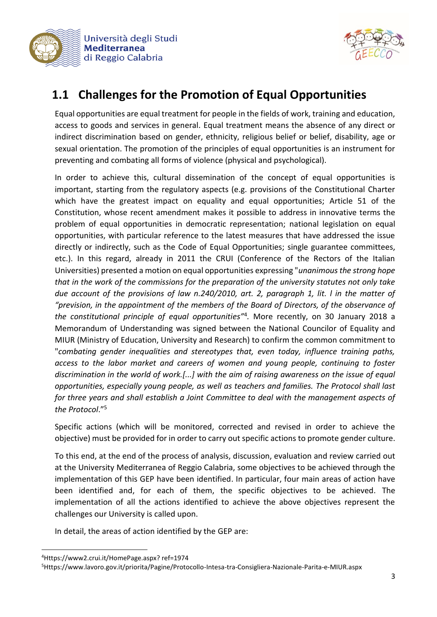



# **1.1 Challenges for the Promotion of Equal Opportunities**

Equal opportunities are equal treatment for people in the fields of work, training and education, access to goods and services in general. Equal treatment means the absence of any direct or indirect discrimination based on gender, ethnicity, religious belief or belief, disability, age or sexual orientation. The promotion of the principles of equal opportunities is an instrument for preventing and combating all forms of violence (physical and psychological).

In order to achieve this, cultural dissemination of the concept of equal opportunities is important, starting from the regulatory aspects (e.g. provisions of the Constitutional Charter which have the greatest impact on equality and equal opportunities; Article 51 of the Constitution, whose recent amendment makes it possible to address in innovative terms the problem of equal opportunities in democratic representation; national legislation on equal opportunities, with particular reference to the latest measures that have addressed the issue directly or indirectly, such as the Code of Equal Opportunities; single guarantee committees, etc.). In this regard, already in 2011 the CRUI (Conference of the Rectors of the Italian Universities) presented a motion on equal opportunities expressing "*unanimous the strong hope that in the work of the commissions for the preparation of the university statutes not only take due account of the provisions of law n.240/2010, art. 2, paragraph 1, lit. l in the matter of "prevision, in the appointment of the members of the Board of Directors, of the observance of the constitutional principle of equal opportunities"*<sup>4</sup> *.* More recently, on 30 January 2018 a Memorandum of Understanding was signed between the National Councilor of Equality and MIUR (Ministry of Education, University and Research) to confirm the common commitment to "*combating gender inequalities and stereotypes that, even today, influence training paths, access to the labor market and careers of women and young people, continuing to foster discrimination in the world of work.[...] with the aim of raising awareness on the issue of equal opportunities, especially young people, as well as teachers and families. The Protocol shall last for three years and shall establish a Joint Committee to deal with the management aspects of the Protocol*." 5

Specific actions (which will be monitored, corrected and revised in order to achieve the objective) must be provided for in order to carry out specific actions to promote gender culture.

To this end, at the end of the process of analysis, discussion, evaluation and review carried out at the University Mediterranea of Reggio Calabria, some objectives to be achieved through the implementation of this GEP have been identified. In particular, four main areas of action have been identified and, for each of them, the specific objectives to be achieved. The implementation of all the actions identified to achieve the above objectives represent the challenges our University is called upon.

In detail, the areas of action identified by the GEP are:

**.** 

<sup>4</sup>Https://www2.crui.it/HomePage.aspx? ref=1974

<sup>5</sup>Https://www.lavoro.gov.it/priorita/Pagine/Protocollo-Intesa-tra-Consigliera-Nazionale-Parita-e-MIUR.aspx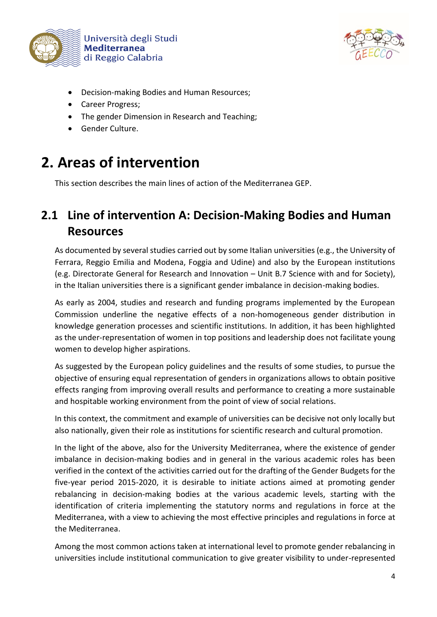



- Decision-making Bodies and Human Resources;
- Career Progress;
- The gender Dimension in Research and Teaching;
- Gender Culture.

# **2. Areas of intervention**

This section describes the main lines of action of the Mediterranea GEP.

# **2.1 Line of intervention A: Decision-Making Bodies and Human Resources**

As documented by several studies carried out by some Italian universities (e.g., the University of Ferrara, Reggio Emilia and Modena, Foggia and Udine) and also by the European institutions (e.g. Directorate General for Research and Innovation – Unit B.7 Science with and for Society), in the Italian universities there is a significant gender imbalance in decision-making bodies.

As early as 2004, studies and research and funding programs implemented by the European Commission underline the negative effects of a non-homogeneous gender distribution in knowledge generation processes and scientific institutions. In addition, it has been highlighted as the under-representation of women in top positions and leadership does not facilitate young women to develop higher aspirations.

As suggested by the European policy guidelines and the results of some studies, to pursue the objective of ensuring equal representation of genders in organizations allows to obtain positive effects ranging from improving overall results and performance to creating a more sustainable and hospitable working environment from the point of view of social relations.

In this context, the commitment and example of universities can be decisive not only locally but also nationally, given their role as institutions for scientific research and cultural promotion.

In the light of the above, also for the University Mediterranea, where the existence of gender imbalance in decision-making bodies and in general in the various academic roles has been verified in the context of the activities carried out for the drafting of the Gender Budgets for the five-year period 2015-2020, it is desirable to initiate actions aimed at promoting gender rebalancing in decision-making bodies at the various academic levels, starting with the identification of criteria implementing the statutory norms and regulations in force at the Mediterranea, with a view to achieving the most effective principles and regulations in force at the Mediterranea.

Among the most common actions taken at international level to promote gender rebalancing in universities include institutional communication to give greater visibility to under-represented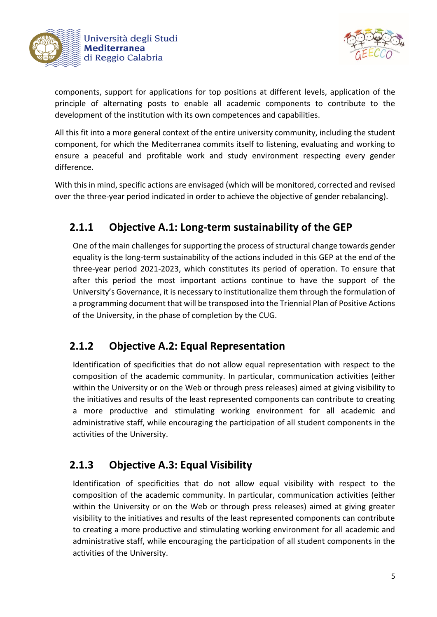



components, support for applications for top positions at different levels, application of the principle of alternating posts to enable all academic components to contribute to the development of the institution with its own competences and capabilities.

All this fit into a more general context of the entire university community, including the student component, for which the Mediterranea commits itself to listening, evaluating and working to ensure a peaceful and profitable work and study environment respecting every gender difference.

With this in mind, specific actions are envisaged (which will be monitored, corrected and revised over the three-year period indicated in order to achieve the objective of gender rebalancing).

# **2.1.1 Objective A.1: Long-term sustainability of the GEP**

One of the main challenges for supporting the process of structural change towards gender equality is the long-term sustainability of the actions included in this GEP at the end of the three-year period 2021-2023, which constitutes its period of operation. To ensure that after this period the most important actions continue to have the support of the University's Governance, it is necessary to institutionalize them through the formulation of a programming document that will be transposed into the Triennial Plan of Positive Actions of the University, in the phase of completion by the CUG.

### **2.1.2 Objective A.2: Equal Representation**

Identification of specificities that do not allow equal representation with respect to the composition of the academic community. In particular, communication activities (either within the University or on the Web or through press releases) aimed at giving visibility to the initiatives and results of the least represented components can contribute to creating a more productive and stimulating working environment for all academic and administrative staff, while encouraging the participation of all student components in the activities of the University.

### **2.1.3 Objective A.3: Equal Visibility**

Identification of specificities that do not allow equal visibility with respect to the composition of the academic community. In particular, communication activities (either within the University or on the Web or through press releases) aimed at giving greater visibility to the initiatives and results of the least represented components can contribute to creating a more productive and stimulating working environment for all academic and administrative staff, while encouraging the participation of all student components in the activities of the University.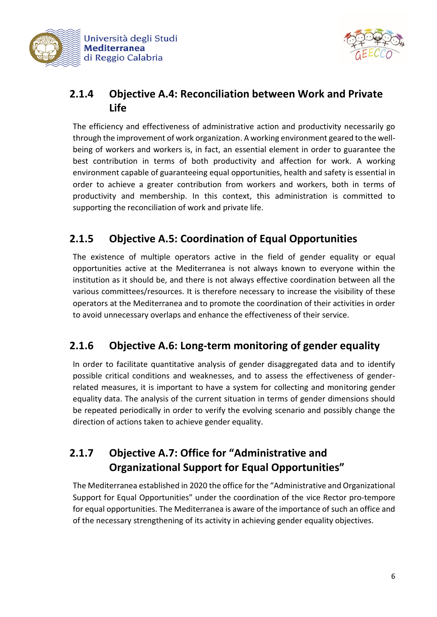



# **2.1.4 Objective A.4: Reconciliation between Work and Private Life**

The efficiency and effectiveness of administrative action and productivity necessarily go through the improvement of work organization. A working environment geared to the wellbeing of workers and workers is, in fact, an essential element in order to guarantee the best contribution in terms of both productivity and affection for work. A working environment capable of guaranteeing equal opportunities, health and safety is essential in order to achieve a greater contribution from workers and workers, both in terms of productivity and membership. In this context, this administration is committed to supporting the reconciliation of work and private life.

# **2.1.5 Objective A.5: Coordination of Equal Opportunities**

The existence of multiple operators active in the field of gender equality or equal opportunities active at the Mediterranea is not always known to everyone within the institution as it should be, and there is not always effective coordination between all the various committees/resources. It is therefore necessary to increase the visibility of these operators at the Mediterranea and to promote the coordination of their activities in order to avoid unnecessary overlaps and enhance the effectiveness of their service.

# **2.1.6 Objective A.6: Long-term monitoring of gender equality**

In order to facilitate quantitative analysis of gender disaggregated data and to identify possible critical conditions and weaknesses, and to assess the effectiveness of genderrelated measures, it is important to have a system for collecting and monitoring gender equality data. The analysis of the current situation in terms of gender dimensions should be repeated periodically in order to verify the evolving scenario and possibly change the direction of actions taken to achieve gender equality.

# **2.1.7 Objective A.7: Office for "Administrative and Organizational Support for Equal Opportunities"**

The Mediterranea established in 2020 the office for the "Administrative and Organizational Support for Equal Opportunities" under the coordination of the vice Rector pro-tempore for equal opportunities. The Mediterranea is aware of the importance of such an office and of the necessary strengthening of its activity in achieving gender equality objectives.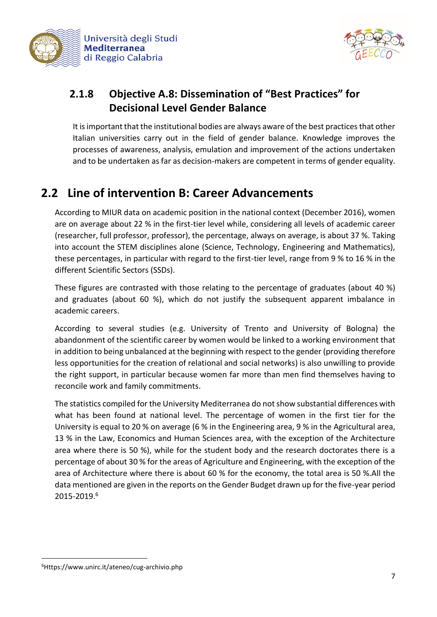



# **2.1.8 Objective A.8: Dissemination of "Best Practices" for Decisional Level Gender Balance**

It is important that the institutional bodies are always aware of the best practices that other Italian universities carry out in the field of gender balance. Knowledge improves the processes of awareness, analysis, emulation and improvement of the actions undertaken and to be undertaken as far as decision-makers are competent in terms of gender equality.

# **2.2 Line of intervention B: Career Advancements**

According to MIUR data on academic position in the national context (December 2016), women are on average about 22 % in the first-tier level while, considering all levels of academic career (researcher, full professor, professor), the percentage, always on average, is about 37 %. Taking into account the STEM disciplines alone (Science, Technology, Engineering and Mathematics), these percentages, in particular with regard to the first-tier level, range from 9 % to 16 % in the different Scientific Sectors (SSDs).

These figures are contrasted with those relating to the percentage of graduates (about 40 %) and graduates (about 60 %), which do not justify the subsequent apparent imbalance in academic careers.

According to several studies (e.g. University of Trento and University of Bologna) the abandonment of the scientific career by women would be linked to a working environment that in addition to being unbalanced at the beginning with respect to the gender (providing therefore less opportunities for the creation of relational and social networks) is also unwilling to provide the right support, in particular because women far more than men find themselves having to reconcile work and family commitments.

The statistics compiled for the University Mediterranea do not show substantial differences with what has been found at national level. The percentage of women in the first tier for the University is equal to 20 % on average (6 % in the Engineering area, 9 % in the Agricultural area, 13 % in the Law, Economics and Human Sciences area, with the exception of the Architecture area where there is 50 %), while for the student body and the research doctorates there is a percentage of about 30 % for the areas of Agriculture and Engineering, with the exception of the area of Architecture where there is about 60 % for the economy, the total area is 50 %.All the data mentioned are given in the reports on the Gender Budget drawn up for the five-year period 2015-2019.<sup>6</sup>

**.** 

<sup>6</sup>Https://www.unirc.it/ateneo/cug-archivio.php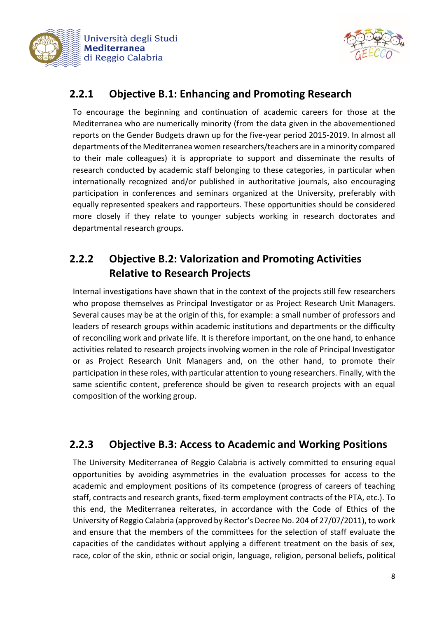



## **2.2.1 Objective B.1: Enhancing and Promoting Research**

To encourage the beginning and continuation of academic careers for those at the Mediterranea who are numerically minority (from the data given in the abovementioned reports on the Gender Budgets drawn up for the five-year period 2015-2019. In almost all departments of the Mediterranea women researchers/teachers are in a minority compared to their male colleagues) it is appropriate to support and disseminate the results of research conducted by academic staff belonging to these categories, in particular when internationally recognized and/or published in authoritative journals, also encouraging participation in conferences and seminars organized at the University, preferably with equally represented speakers and rapporteurs. These opportunities should be considered more closely if they relate to younger subjects working in research doctorates and departmental research groups.

# **2.2.2 Objective B.2: Valorization and Promoting Activities Relative to Research Projects**

Internal investigations have shown that in the context of the projects still few researchers who propose themselves as Principal Investigator or as Project Research Unit Managers. Several causes may be at the origin of this, for example: a small number of professors and leaders of research groups within academic institutions and departments or the difficulty of reconciling work and private life. It is therefore important, on the one hand, to enhance activities related to research projects involving women in the role of Principal Investigator or as Project Research Unit Managers and, on the other hand, to promote their participation in these roles, with particular attention to young researchers. Finally, with the same scientific content, preference should be given to research projects with an equal composition of the working group.

# **2.2.3 Objective B.3: Access to Academic and Working Positions**

The University Mediterranea of Reggio Calabria is actively committed to ensuring equal opportunities by avoiding asymmetries in the evaluation processes for access to the academic and employment positions of its competence (progress of careers of teaching staff, contracts and research grants, fixed-term employment contracts of the PTA, etc.). To this end, the Mediterranea reiterates, in accordance with the Code of Ethics of the University of Reggio Calabria (approved by Rector's Decree No. 204 of 27/07/2011), to work and ensure that the members of the committees for the selection of staff evaluate the capacities of the candidates without applying a different treatment on the basis of sex, race, color of the skin, ethnic or social origin, language, religion, personal beliefs, political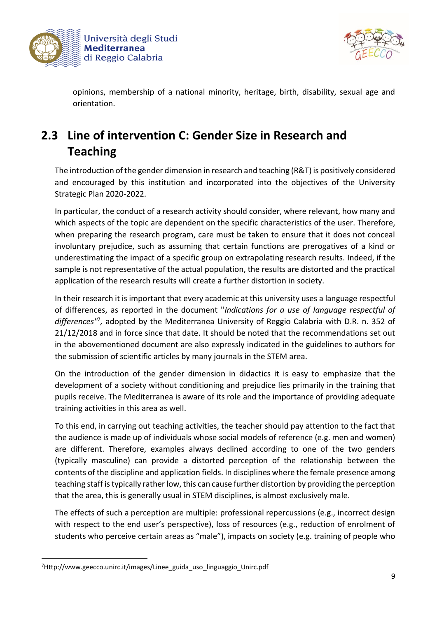



opinions, membership of a national minority, heritage, birth, disability, sexual age and orientation.

# **2.3 Line of intervention C: Gender Size in Research and Teaching**

The introduction of the gender dimension in research and teaching (R&T) is positively considered and encouraged by this institution and incorporated into the objectives of the University Strategic Plan 2020-2022.

In particular, the conduct of a research activity should consider, where relevant, how many and which aspects of the topic are dependent on the specific characteristics of the user. Therefore, when preparing the research program, care must be taken to ensure that it does not conceal involuntary prejudice, such as assuming that certain functions are prerogatives of a kind or underestimating the impact of a specific group on extrapolating research results. Indeed, if the sample is not representative of the actual population, the results are distorted and the practical application of the research results will create a further distortion in society.

In their research it is important that every academic at this university uses a language respectful of differences, as reported in the document "*Indications for a use of language respectful of*  differences<sup>17</sup>, adopted by the Mediterranea University of Reggio Calabria with D.R. n. 352 of 21/12/2018 and in force since that date. It should be noted that the recommendations set out in the abovementioned document are also expressly indicated in the guidelines to authors for the submission of scientific articles by many journals in the STEM area.

On the introduction of the gender dimension in didactics it is easy to emphasize that the development of a society without conditioning and prejudice lies primarily in the training that pupils receive. The Mediterranea is aware of its role and the importance of providing adequate training activities in this area as well.

To this end, in carrying out teaching activities, the teacher should pay attention to the fact that the audience is made up of individuals whose social models of reference (e.g. men and women) are different. Therefore, examples always declined according to one of the two genders (typically masculine) can provide a distorted perception of the relationship between the contents of the discipline and application fields. In disciplines where the female presence among teaching staff is typically rather low, this can cause further distortion by providing the perception that the area, this is generally usual in STEM disciplines, is almost exclusively male.

The effects of such a perception are multiple: professional repercussions (e.g., incorrect design with respect to the end user's perspective), loss of resources (e.g., reduction of enrolment of students who perceive certain areas as "male"), impacts on society (e.g. training of people who

**.** 

<sup>7</sup>Http://www.geecco.unirc.it/images/Linee\_guida\_uso\_linguaggio\_Unirc.pdf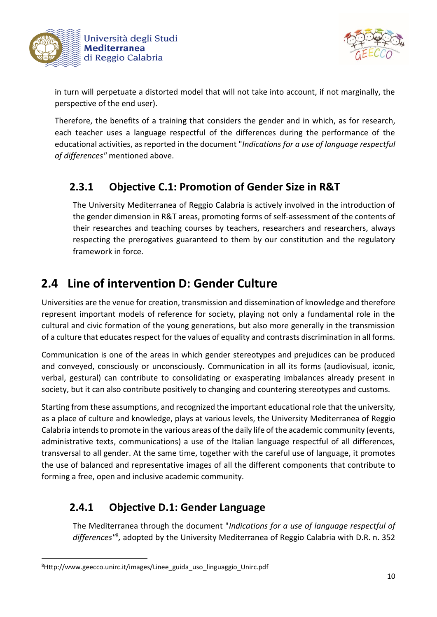



in turn will perpetuate a distorted model that will not take into account, if not marginally, the perspective of the end user).

Therefore, the benefits of a training that considers the gender and in which, as for research, each teacher uses a language respectful of the differences during the performance of the educational activities, as reported in the document "*Indications for a use of language respectful of differences"* mentioned above.

# **2.3.1 Objective C.1: Promotion of Gender Size in R&T**

The University Mediterranea of Reggio Calabria is actively involved in the introduction of the gender dimension in R&T areas, promoting forms of self-assessment of the contents of their researches and teaching courses by teachers, researchers and researchers, always respecting the prerogatives guaranteed to them by our constitution and the regulatory framework in force.

# **2.4 Line of intervention D: Gender Culture**

Universities are the venue for creation, transmission and dissemination of knowledge and therefore represent important models of reference for society, playing not only a fundamental role in the cultural and civic formation of the young generations, but also more generally in the transmission of a culture that educates respect for the values of equality and contrasts discrimination in all forms.

Communication is one of the areas in which gender stereotypes and prejudices can be produced and conveyed, consciously or unconsciously. Communication in all its forms (audiovisual, iconic, verbal, gestural) can contribute to consolidating or exasperating imbalances already present in society, but it can also contribute positively to changing and countering stereotypes and customs.

Starting from these assumptions, and recognized the important educational role that the university, as a place of culture and knowledge, plays at various levels, the University Mediterranea of Reggio Calabria intends to promote in the various areas of the daily life of the academic community (events, administrative texts, communications) a use of the Italian language respectful of all differences, transversal to all gender. At the same time, together with the careful use of language, it promotes the use of balanced and representative images of all the different components that contribute to forming a free, open and inclusive academic community.

# **2.4.1 Objective D.1: Gender Language**

The Mediterranea through the document "*Indications for a use of language respectful of*  differences<sup>"8</sup>, adopted by the University Mediterranea of Reggio Calabria with D.R. n. 352

**.** 

<sup>8</sup>Http://www.geecco.unirc.it/images/Linee\_guida\_uso\_linguaggio\_Unirc.pdf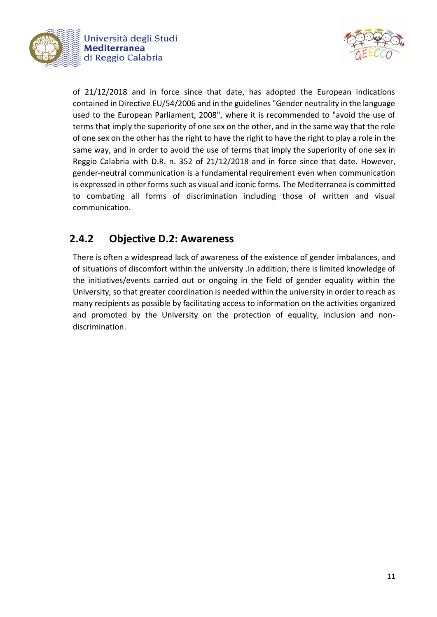



of 21/12/2018 and in force since that date, has adopted the European indications contained in Directive EU/54/2006 and in the guidelines "Gender neutrality in the language used to the European Parliament, 2008", where it is recommended to "avoid the use of terms that imply the superiority of one sex on the other, and in the same way that the role of one sex on the other has the right to have the right to have the right to play a role in the same way, and in order to avoid the use of terms that imply the superiority of one sex in Reggio Calabria with D.R. n. 352 of 21/12/2018 and in force since that date. However, gender-neutral communication is a fundamental requirement even when communication is expressed in other forms such as visual and iconic forms. The Mediterranea is committed to combating all forms of discrimination including those of written and visual communication.

## **2.4.2 Objective D.2: Awareness**

There is often a widespread lack of awareness of the existence of gender imbalances, and of situations of discomfort within the university .In addition, there is limited knowledge of the initiatives/events carried out or ongoing in the field of gender equality within the University, so that greater coordination is needed within the university in order to reach as many recipients as possible by facilitating access to information on the activities organized and promoted by the University on the protection of equality, inclusion and nondiscrimination.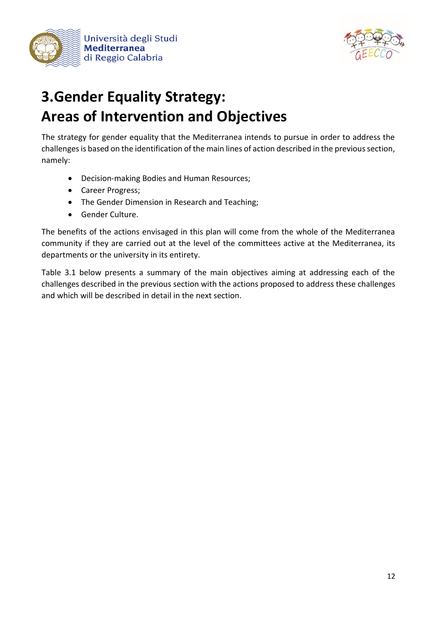



# **3.Gender Equality Strategy: Areas of Intervention and Objectives**

The strategy for gender equality that the Mediterranea intends to pursue in order to address the challenges is based on the identification of the main lines of action described in the previous section, namely:

- Decision-making Bodies and Human Resources;
- Career Progress;
- The Gender Dimension in Research and Teaching;
- Gender Culture.

The benefits of the actions envisaged in this plan will come from the whole of the Mediterranea community if they are carried out at the level of the committees active at the Mediterranea, its departments or the university in its entirety.

Table 3.1 below presents a summary of the main objectives aiming at addressing each of the challenges described in the previous section with the actions proposed to address these challenges and which will be described in detail in the next section.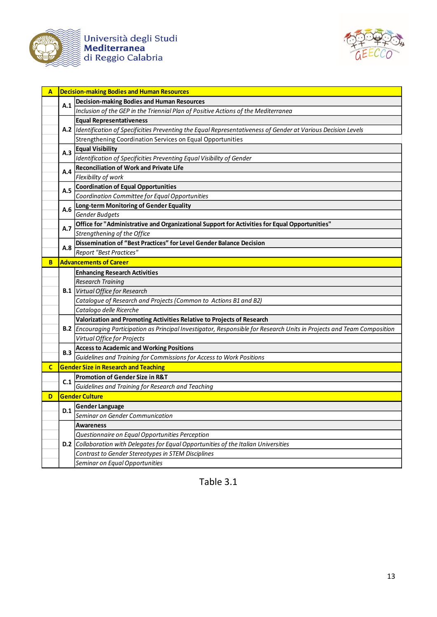

Università degli Studi<br>**Mediterranea**<br>di Reggio Calabria



| A  |     | <b>Decision-making Bodies and Human Resources</b>                                                                        |
|----|-----|--------------------------------------------------------------------------------------------------------------------------|
|    |     | <b>Decision-making Bodies and Human Resources</b>                                                                        |
|    | A.1 | Inclusion of the GEP in the Triennial Plan of Positive Actions of the Mediterranea                                       |
|    |     | <b>Equal Representativeness</b>                                                                                          |
|    |     | A.2  Identification of Specificities Preventing the Equal Representativeness of Gender at Various Decision Levels        |
|    |     | Strengthening Coordination Services on Equal Opportunities                                                               |
|    | A.3 | <b>Equal Visibility</b>                                                                                                  |
|    |     | Identification of Specificities Preventing Equal Visibility of Gender                                                    |
|    |     | <b>Reconciliation of Work and Private Life</b>                                                                           |
|    | A.4 | Flexibility of work                                                                                                      |
|    |     | <b>Coordination of Equal Opportunities</b>                                                                               |
|    | A.5 | Coordination Committee for Equal Opportunities                                                                           |
|    |     | Long-term Monitoring of Gender Equality                                                                                  |
|    | A.6 | Gender Budgets                                                                                                           |
|    |     | Office for "Administrative and Organizational Support for Activities for Equal Opportunities"                            |
|    | A.7 | Strengthening of the Office                                                                                              |
|    |     | Dissemination of "Best Practices" for Level Gender Balance Decision                                                      |
|    | A.8 | <b>Report "Best Practices"</b>                                                                                           |
| B  |     | <b>Advancements of Career</b>                                                                                            |
|    |     | <b>Enhancing Research Activities</b>                                                                                     |
|    |     | <b>Research Training</b>                                                                                                 |
|    |     | <b>B.1</b> Virtual Office for Research                                                                                   |
|    |     | Catalogue of Research and Projects (Common to Actions B1 and B2)                                                         |
|    |     | Catalogo delle Ricerche                                                                                                  |
|    |     | Valorization and Promoting Activities Relative to Projects of Research                                                   |
|    |     | B.2 Encouraging Participation as Principal Investigator, Responsible for Research Units in Projects and Team Composition |
|    |     | Virtual Office for Projects                                                                                              |
|    | B.3 | <b>Access to Academic and Working Positions</b>                                                                          |
|    |     | Guidelines and Training for Commissions for Access to Work Positions                                                     |
| C. |     | <b>Gender Size in Research and Teaching</b>                                                                              |
|    | C.1 | <b>Promotion of Gender Size in R&amp;T</b>                                                                               |
|    |     | Guidelines and Training for Research and Teaching                                                                        |
| D  |     | <b>Gender Culture</b>                                                                                                    |
|    | D.1 | <b>Gender Language</b>                                                                                                   |
|    |     | Seminar on Gender Communication                                                                                          |
|    |     | <b>Awareness</b>                                                                                                         |
|    |     | Questionnaire on Equal Opportunities Perception                                                                          |
|    |     | D.2 Collaboration with Delegates for Equal Opportunities of the Italian Universities                                     |
|    |     | Contrast to Gender Stereotypes in STEM Disciplines                                                                       |
|    |     | Seminar on Equal Opportunities                                                                                           |

Table 3.1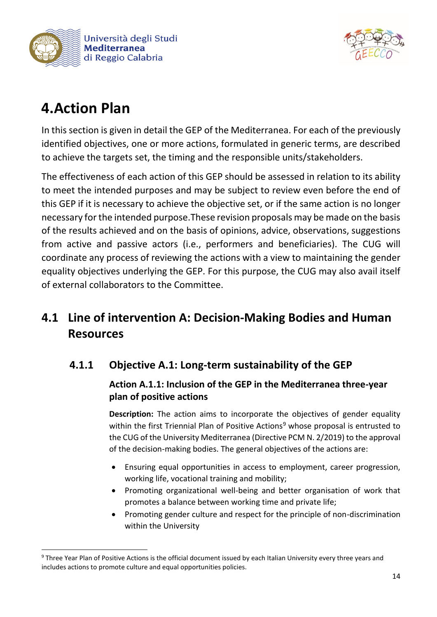



# **4.Action Plan**

**.** 

In this section is given in detail the GEP of the Mediterranea. For each of the previously identified objectives, one or more actions, formulated in generic terms, are described to achieve the targets set, the timing and the responsible units/stakeholders.

The effectiveness of each action of this GEP should be assessed in relation to its ability to meet the intended purposes and may be subject to review even before the end of this GEP if it is necessary to achieve the objective set, or if the same action is no longer necessary for the intended purpose.These revision proposals may be made on the basis of the results achieved and on the basis of opinions, advice, observations, suggestions from active and passive actors (i.e., performers and beneficiaries). The CUG will coordinate any process of reviewing the actions with a view to maintaining the gender equality objectives underlying the GEP. For this purpose, the CUG may also avail itself of external collaborators to the Committee.

# **4.1 Line of intervention A: Decision-Making Bodies and Human Resources**

# **4.1.1 Objective A.1: Long-term sustainability of the GEP**

### **Action A.1.1: Inclusion of the GEP in the Mediterranea three-year plan of positive actions**

**Description:** The action aims to incorporate the objectives of gender equality within the first Triennial Plan of Positive Actions<sup>9</sup> whose proposal is entrusted to the CUG of the University Mediterranea (Directive PCM N. 2/2019) to the approval of the decision-making bodies. The general objectives of the actions are:

- Ensuring equal opportunities in access to employment, career progression, working life, vocational training and mobility;
- Promoting organizational well-being and better organisation of work that promotes a balance between working time and private life;
- Promoting gender culture and respect for the principle of non-discrimination within the University

<sup>&</sup>lt;sup>9</sup> Three Year Plan of Positive Actions is the official document issued by each Italian University every three years and includes actions to promote culture and equal opportunities policies.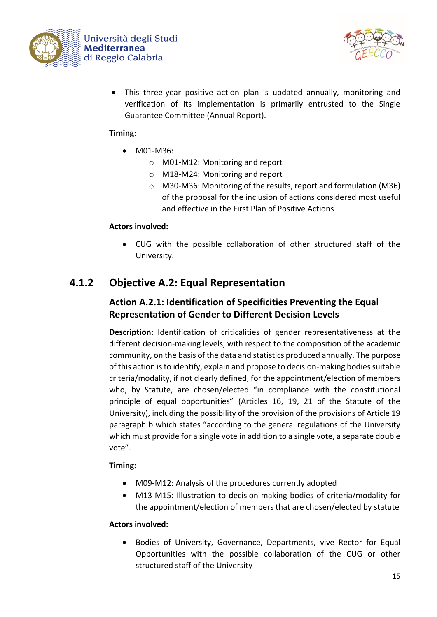



• This three-year positive action plan is updated annually, monitoring and verification of its implementation is primarily entrusted to the Single Guarantee Committee (Annual Report).

### **Timing:**

- M01-M36:
	- o M01-M12: Monitoring and report
	- o M18-M24: Monitoring and report
	- o M30-M36: Monitoring of the results, report and formulation (M36) of the proposal for the inclusion of actions considered most useful and effective in the First Plan of Positive Actions

### **Actors involved:**

• CUG with the possible collaboration of other structured staff of the University.

### **4.1.2 Objective A.2: Equal Representation**

### **Action A.2.1: Identification of Specificities Preventing the Equal Representation of Gender to Different Decision Levels**

**Description:** Identification of criticalities of gender representativeness at the different decision-making levels, with respect to the composition of the academic community, on the basis of the data and statistics produced annually. The purpose of this action is to identify, explain and propose to decision-making bodies suitable criteria/modality, if not clearly defined, for the appointment/election of members who, by Statute, are chosen/elected "in compliance with the constitutional principle of equal opportunities" (Articles 16, 19, 21 of the Statute of the University), including the possibility of the provision of the provisions of Article 19 paragraph b which states "according to the general regulations of the University which must provide for a single vote in addition to a single vote, a separate double vote".

### **Timing:**

- M09-M12: Analysis of the procedures currently adopted
- M13-M15: Illustration to decision-making bodies of criteria/modality for the appointment/election of members that are chosen/elected by statute

### **Actors involved:**

• Bodies of University, Governance, Departments, vive Rector for Equal Opportunities with the possible collaboration of the CUG or other structured staff of the University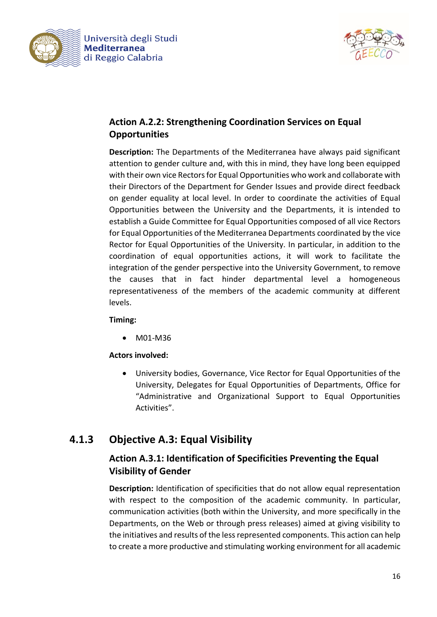



### **Action A.2.2: Strengthening Coordination Services on Equal Opportunities**

**Description:** The Departments of the Mediterranea have always paid significant attention to gender culture and, with this in mind, they have long been equipped with their own vice Rectors for Equal Opportunities who work and collaborate with their Directors of the Department for Gender Issues and provide direct feedback on gender equality at local level. In order to coordinate the activities of Equal Opportunities between the University and the Departments, it is intended to establish a Guide Committee for Equal Opportunities composed of all vice Rectors for Equal Opportunities of the Mediterranea Departments coordinated by the vice Rector for Equal Opportunities of the University. In particular, in addition to the coordination of equal opportunities actions, it will work to facilitate the integration of the gender perspective into the University Government, to remove the causes that in fact hinder departmental level a homogeneous representativeness of the members of the academic community at different levels.

### **Timing:**

• M01-M36

### **Actors involved:**

• University bodies, Governance, Vice Rector for Equal Opportunities of the University, Delegates for Equal Opportunities of Departments, Office for "Administrative and Organizational Support to Equal Opportunities Activities".

### **4.1.3 Objective A.3: Equal Visibility**

### **Action A.3.1: Identification of Specificities Preventing the Equal Visibility of Gender**

**Description:** Identification of specificities that do not allow equal representation with respect to the composition of the academic community. In particular, communication activities (both within the University, and more specifically in the Departments, on the Web or through press releases) aimed at giving visibility to the initiatives and results of the less represented components. This action can help to create a more productive and stimulating working environment for all academic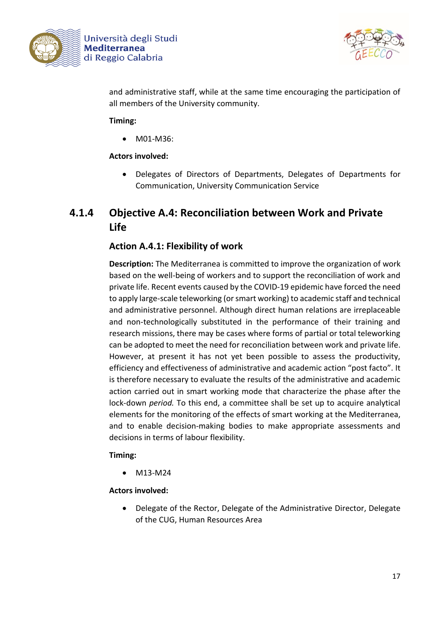



and administrative staff, while at the same time encouraging the participation of all members of the University community.

### **Timing:**

• M01-M36:

### **Actors involved:**

• Delegates of Directors of Departments, Delegates of Departments for Communication, University Communication Service

### **4.1.4 Objective A.4: Reconciliation between Work and Private Life**

### **Action A.4.1: Flexibility of work**

**Description:** The Mediterranea is committed to improve the organization of work based on the well-being of workers and to support the reconciliation of work and private life. Recent events caused by the COVID-19 epidemic have forced the need to apply large-scale teleworking (or smart working) to academic staff and technical and administrative personnel. Although direct human relations are irreplaceable and non-technologically substituted in the performance of their training and research missions, there may be cases where forms of partial or total teleworking can be adopted to meet the need for reconciliation between work and private life. However, at present it has not yet been possible to assess the productivity, efficiency and effectiveness of administrative and academic action "post facto". It is therefore necessary to evaluate the results of the administrative and academic action carried out in smart working mode that characterize the phase after the lock-down *period.* To this end, a committee shall be set up to acquire analytical elements for the monitoring of the effects of smart working at the Mediterranea, and to enable decision-making bodies to make appropriate assessments and decisions in terms of labour flexibility.

#### **Timing:**

• M13-M24

#### **Actors involved:**

• Delegate of the Rector, Delegate of the Administrative Director, Delegate of the CUG, Human Resources Area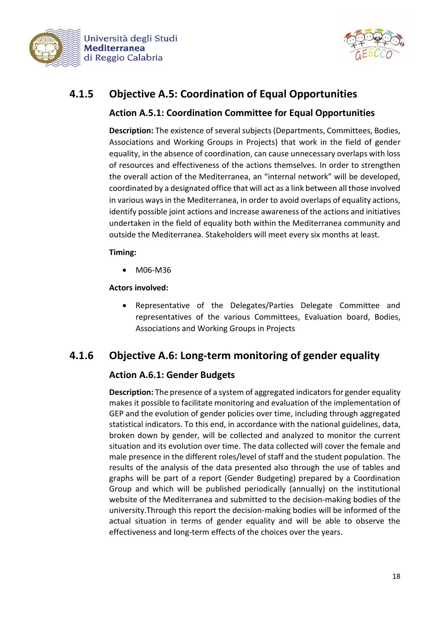



## **4.1.5 Objective A.5: Coordination of Equal Opportunities**

### **Action A.5.1: Coordination Committee for Equal Opportunities**

**Description:** The existence of several subjects (Departments, Committees, Bodies, Associations and Working Groups in Projects) that work in the field of gender equality, in the absence of coordination, can cause unnecessary overlaps with loss of resources and effectiveness of the actions themselves. In order to strengthen the overall action of the Mediterranea, an "internal network" will be developed, coordinated by a designated office that will act as a link between all those involved in various ways in the Mediterranea, in order to avoid overlaps of equality actions, identify possible joint actions and increase awareness of the actions and initiatives undertaken in the field of equality both within the Mediterranea community and outside the Mediterranea. Stakeholders will meet every six months at least.

### **Timing:**

• M06-M36

**Actors involved:**

• Representative of the Delegates/Parties Delegate Committee and representatives of the various Committees, Evaluation board, Bodies, Associations and Working Groups in Projects

### **4.1.6 Objective A.6: Long-term monitoring of gender equality**

### **Action A.6.1: Gender Budgets**

**Description:** The presence of a system of aggregated indicators for gender equality makes it possible to facilitate monitoring and evaluation of the implementation of GEP and the evolution of gender policies over time, including through aggregated statistical indicators. To this end, in accordance with the national guidelines, data, broken down by gender, will be collected and analyzed to monitor the current situation and its evolution over time. The data collected will cover the female and male presence in the different roles/level of staff and the student population. The results of the analysis of the data presented also through the use of tables and graphs will be part of a report (Gender Budgeting) prepared by a Coordination Group and which will be published periodically (annually) on the institutional website of the Mediterranea and submitted to the decision-making bodies of the university.Through this report the decision-making bodies will be informed of the actual situation in terms of gender equality and will be able to observe the effectiveness and long-term effects of the choices over the years.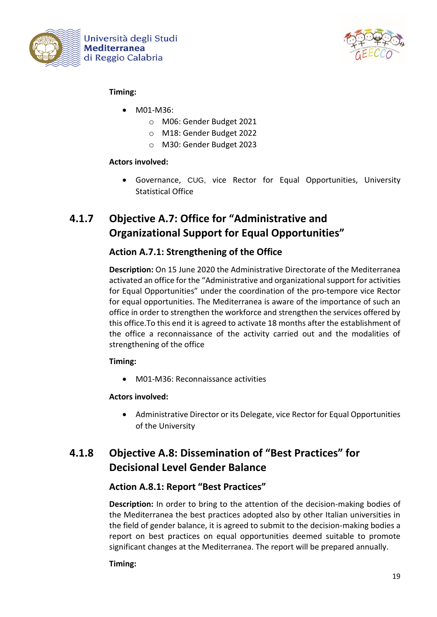



### **Timing:**

- M01-M36:
	- o M06: Gender Budget 2021
	- o M18: Gender Budget 2022
	- o M30: Gender Budget 2023

### **Actors involved:**

• Governance, CUG, vice Rector for Equal Opportunities, University Statistical Office

# **4.1.7 Objective A.7: Office for "Administrative and Organizational Support for Equal Opportunities"**

### **Action A.7.1: Strengthening of the Office**

**Description:** On 15 June 2020 the Administrative Directorate of the Mediterranea activated an office for the "Administrative and organizational support for activities for Equal Opportunities" under the coordination of the pro-tempore vice Rector for equal opportunities. The Mediterranea is aware of the importance of such an office in order to strengthen the workforce and strengthen the services offered by this office.To this end it is agreed to activate 18 months after the establishment of the office a reconnaissance of the activity carried out and the modalities of strengthening of the office

### **Timing:**

• M01-M36: Reconnaissance activities

### **Actors involved:**

• Administrative Director or its Delegate, vice Rector for Equal Opportunities of the University

## **4.1.8 Objective A.8: Dissemination of "Best Practices" for Decisional Level Gender Balance**

### **Action A.8.1: Report "Best Practices"**

**Description:** In order to bring to the attention of the decision-making bodies of the Mediterranea the best practices adopted also by other Italian universities in the field of gender balance, it is agreed to submit to the decision-making bodies a report on best practices on equal opportunities deemed suitable to promote significant changes at the Mediterranea. The report will be prepared annually.

### **Timing:**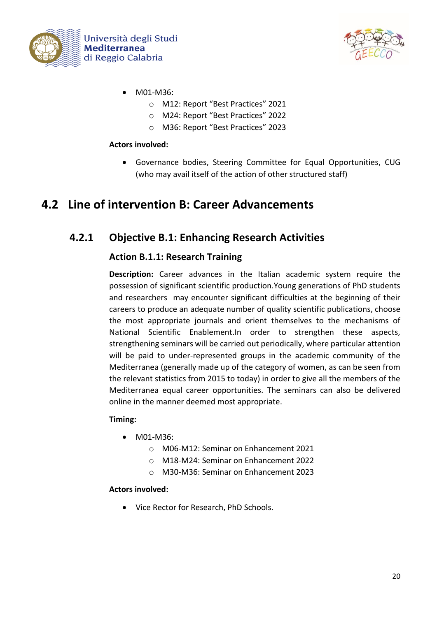



- M01-M36:
	- o M12: Report "Best Practices" 2021
	- o M24: Report "Best Practices" 2022
	- o M36: Report "Best Practices" 2023

#### **Actors involved:**

• Governance bodies, Steering Committee for Equal Opportunities, CUG (who may avail itself of the action of other structured staff)

# **4.2 Line of intervention B: Career Advancements**

### **4.2.1 Objective B.1: Enhancing Research Activities**

### **Action B.1.1: Research Training**

**Description:** Career advances in the Italian academic system require the possession of significant scientific production.Young generations of PhD students and researchers may encounter significant difficulties at the beginning of their careers to produce an adequate number of quality scientific publications, choose the most appropriate journals and orient themselves to the mechanisms of National Scientific Enablement.In order to strengthen these aspects, strengthening seminars will be carried out periodically, where particular attention will be paid to under-represented groups in the academic community of the Mediterranea (generally made up of the category of women, as can be seen from the relevant statistics from 2015 to today) in order to give all the members of the Mediterranea equal career opportunities. The seminars can also be delivered online in the manner deemed most appropriate.

### **Timing:**

- M01-M36:
	- o M06-M12: Seminar on Enhancement 2021
	- o M18-M24: Seminar on Enhancement 2022
	- o M30-M36: Seminar on Enhancement 2023

#### **Actors involved:**

• Vice Rector for Research, PhD Schools.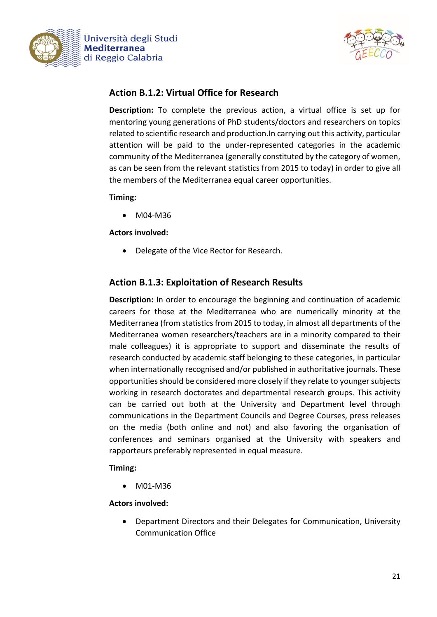



### **Action B.1.2: Virtual Office for Research**

**Description:** To complete the previous action, a virtual office is set up for mentoring young generations of PhD students/doctors and researchers on topics related to scientific research and production.In carrying out this activity, particular attention will be paid to the under-represented categories in the academic community of the Mediterranea (generally constituted by the category of women, as can be seen from the relevant statistics from 2015 to today) in order to give all the members of the Mediterranea equal career opportunities.

#### **Timing:**

• M04-M36

#### **Actors involved:**

• Delegate of the Vice Rector for Research.

### **Action B.1.3: Exploitation of Research Results**

**Description:** In order to encourage the beginning and continuation of academic careers for those at the Mediterranea who are numerically minority at the Mediterranea (from statistics from 2015 to today, in almost all departments of the Mediterranea women researchers/teachers are in a minority compared to their male colleagues) it is appropriate to support and disseminate the results of research conducted by academic staff belonging to these categories, in particular when internationally recognised and/or published in authoritative journals. These opportunities should be considered more closely if they relate to younger subjects working in research doctorates and departmental research groups. This activity can be carried out both at the University and Department level through communications in the Department Councils and Degree Courses, press releases on the media (both online and not) and also favoring the organisation of conferences and seminars organised at the University with speakers and rapporteurs preferably represented in equal measure.

### **Timing:**

• M01-M36

### **Actors involved:**

• Department Directors and their Delegates for Communication, University Communication Office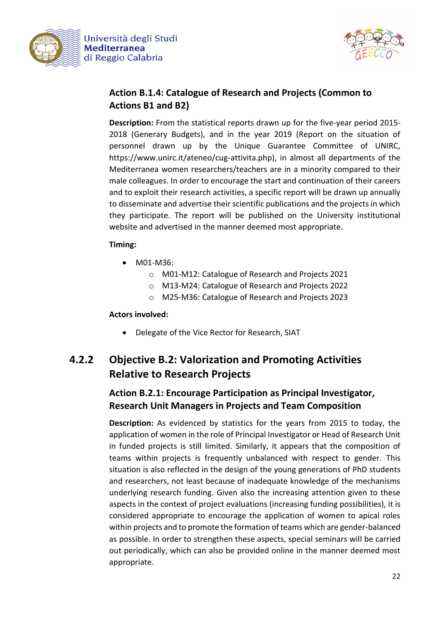



### **Action B.1.4: Catalogue of Research and Projects (Common to Actions B1 and B2)**

**Description:** From the statistical reports drawn up for the five-year period 2015- 2018 (Generary Budgets), and in the year 2019 (Report on the situation of personnel drawn up by the Unique Guarantee Committee of UNIRC, https://www.unirc.it/ateneo/cug-attivita.php), in almost all departments of the Mediterranea women researchers/teachers are in a minority compared to their male colleagues. In order to encourage the start and continuation of their careers and to exploit their research activities, a specific report will be drawn up annually to disseminate and advertise their scientific publications and the projects in which they participate. The report will be published on the University institutional website and advertised in the manner deemed most appropriate.

### **Timing:**

- M01-M36:
	- o M01-M12: Catalogue of Research and Projects 2021
	- o M13-M24: Catalogue of Research and Projects 2022
	- o M25-M36: Catalogue of Research and Projects 2023

#### **Actors involved:**

• Delegate of the Vice Rector for Research, SIAT

# **4.2.2 Objective B.2: Valorization and Promoting Activities Relative to Research Projects**

### **Action B.2.1: Encourage Participation as Principal Investigator, Research Unit Managers in Projects and Team Composition**

**Description:** As evidenced by statistics for the years from 2015 to today, the application of women in the role of Principal Investigator or Head of Research Unit in funded projects is still limited. Similarly, it appears that the composition of teams within projects is frequently unbalanced with respect to gender. This situation is also reflected in the design of the young generations of PhD students and researchers, not least because of inadequate knowledge of the mechanisms underlying research funding. Given also the increasing attention given to these aspects in the context of project evaluations (increasing funding possibilities), it is considered appropriate to encourage the application of women to apical roles within projects and to promote the formation of teams which are gender-balanced as possible. In order to strengthen these aspects, special seminars will be carried out periodically, which can also be provided online in the manner deemed most appropriate.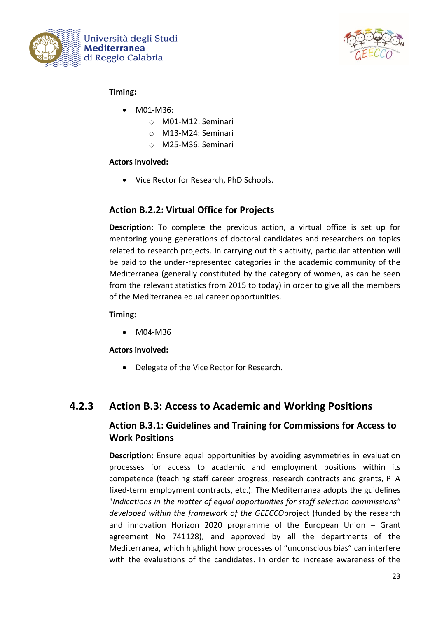



### **Timing:**

- M01-M36:
	- o M01-M12: Seminari
	- o M13-M24: Seminari
	- o M25-M36: Seminari

### **Actors involved:**

• Vice Rector for Research, PhD Schools.

### **Action B.2.2: Virtual Office for Projects**

**Description:** To complete the previous action, a virtual office is set up for mentoring young generations of doctoral candidates and researchers on topics related to research projects. In carrying out this activity, particular attention will be paid to the under-represented categories in the academic community of the Mediterranea (generally constituted by the category of women, as can be seen from the relevant statistics from 2015 to today) in order to give all the members of the Mediterranea equal career opportunities.

**Timing:**

• M04-M36

**Actors involved:**

• Delegate of the Vice Rector for Research.

### **4.2.3 Action B.3: Access to Academic and Working Positions**

### **Action B.3.1: Guidelines and Training for Commissions for Access to Work Positions**

**Description:** Ensure equal opportunities by avoiding asymmetries in evaluation processes for access to academic and employment positions within its competence (teaching staff career progress, research contracts and grants, PTA fixed-term employment contracts, etc.). The Mediterranea adopts the guidelines "*Indications in the matter of equal opportunities for staff selection commissions" developed within the framework of the GEECCO*project (funded by the research and innovation Horizon 2020 programme of the European Union – Grant agreement No 741128), and approved by all the departments of the Mediterranea, which highlight how processes of "unconscious bias" can interfere with the evaluations of the candidates. In order to increase awareness of the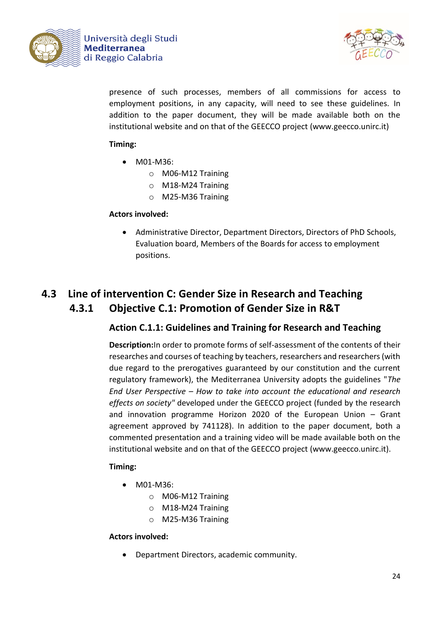



presence of such processes, members of all commissions for access to employment positions, in any capacity, will need to see these guidelines. In addition to the paper document, they will be made available both on the institutional website and on that of the GEECCO project (www.geecco.unirc.it)

### **Timing:**

- M01-M36:
	- o M06-M12 Training
	- o M18-M24 Training
	- o M25-M36 Training

### **Actors involved:**

• Administrative Director, Department Directors, Directors of PhD Schools, Evaluation board, Members of the Boards for access to employment positions.

# **4.3 Line of intervention C: Gender Size in Research and Teaching 4.3.1 Objective C.1: Promotion of Gender Size in R&T**

### **Action C.1.1: Guidelines and Training for Research and Teaching**

**Description:**In order to promote forms of self-assessment of the contents of their researches and courses of teaching by teachers, researchers and researchers (with due regard to the prerogatives guaranteed by our constitution and the current regulatory framework), the Mediterranea University adopts the guidelines "*The End User Perspective – How to take into account the educational and research effects on society"* developed under the GEECCO project (funded by the research and innovation programme Horizon 2020 of the European Union – Grant agreement approved by 741128). In addition to the paper document, both a commented presentation and a training video will be made available both on the institutional website and on that of the GEECCO project (www.geecco.unirc.it).

### **Timing:**

- M01-M36:
	- o M06-M12 Training
	- o M18-M24 Training
	- o M25-M36 Training

#### **Actors involved:**

• Department Directors, academic community.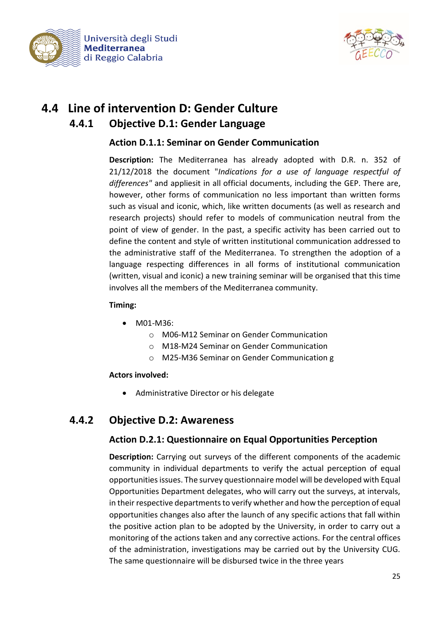



# **4.4 Line of intervention D: Gender Culture 4.4.1 Objective D.1: Gender Language**

### **Action D.1.1: Seminar on Gender Communication**

**Description:** The Mediterranea has already adopted with D.R. n. 352 of 21/12/2018 the document "*Indications for a use of language respectful of differences"* and appliesit in all official documents, including the GEP. There are, however, other forms of communication no less important than written forms such as visual and iconic, which, like written documents (as well as research and research projects) should refer to models of communication neutral from the point of view of gender. In the past, a specific activity has been carried out to define the content and style of written institutional communication addressed to the administrative staff of the Mediterranea. To strengthen the adoption of a language respecting differences in all forms of institutional communication (written, visual and iconic) a new training seminar will be organised that this time involves all the members of the Mediterranea community.

#### **Timing:**

- M01-M36:
	- o M06-M12 Seminar on Gender Communication
	- o M18-M24 Seminar on Gender Communication
	- o M25-M36 Seminar on Gender Communication g

### **Actors involved:**

• Administrative Director or his delegate

### **4.4.2 Objective D.2: Awareness**

### **Action D.2.1: Questionnaire on Equal Opportunities Perception**

**Description:** Carrying out surveys of the different components of the academic community in individual departments to verify the actual perception of equal opportunities issues. The survey questionnaire model will be developed with Equal Opportunities Department delegates, who will carry out the surveys, at intervals, in their respective departments to verify whether and how the perception of equal opportunities changes also after the launch of any specific actions that fall within the positive action plan to be adopted by the University, in order to carry out a monitoring of the actions taken and any corrective actions. For the central offices of the administration, investigations may be carried out by the University CUG. The same questionnaire will be disbursed twice in the three years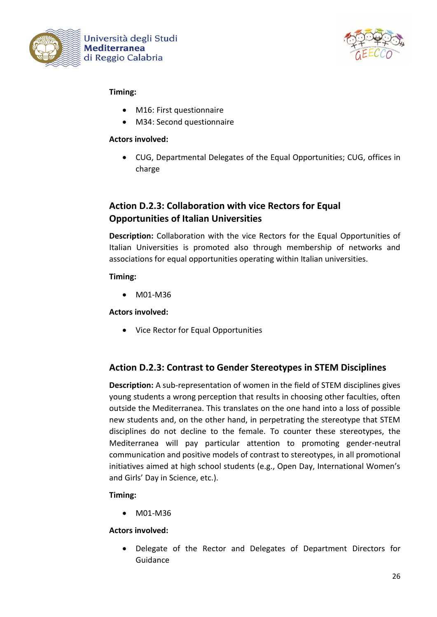



### **Timing:**

- M16: First questionnaire
- M34: Second questionnaire

#### **Actors involved:**

• CUG, Departmental Delegates of the Equal Opportunities; CUG, offices in charge

### **Action D.2.3: Collaboration with vice Rectors for Equal Opportunities of Italian Universities**

**Description:** Collaboration with the vice Rectors for the Equal Opportunities of Italian Universities is promoted also through membership of networks and associations for equal opportunities operating within Italian universities.

### **Timing:**

• M01-M36

### **Actors involved:**

• Vice Rector for Equal Opportunities

### **Action D.2.3: Contrast to Gender Stereotypes in STEM Disciplines**

**Description:** A sub-representation of women in the field of STEM disciplines gives young students a wrong perception that results in choosing other faculties, often outside the Mediterranea. This translates on the one hand into a loss of possible new students and, on the other hand, in perpetrating the stereotype that STEM disciplines do not decline to the female. To counter these stereotypes, the Mediterranea will pay particular attention to promoting gender-neutral communication and positive models of contrast to stereotypes, in all promotional initiatives aimed at high school students (e.g., Open Day, International Women's and Girls' Day in Science, etc.).

### **Timing:**

• M01-M36

### **Actors involved:**

• Delegate of the Rector and Delegates of Department Directors for Guidance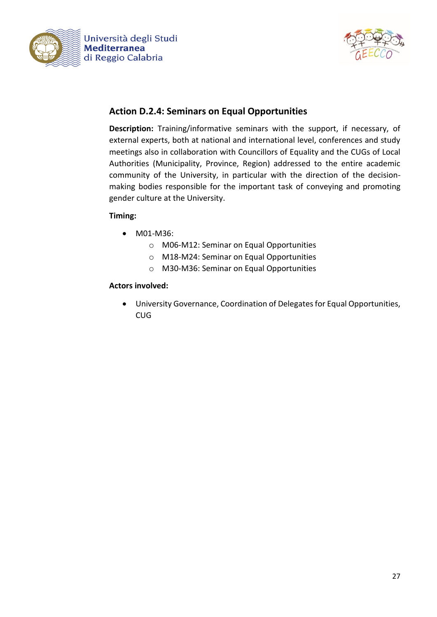



### **Action D.2.4: Seminars on Equal Opportunities**

**Description:** Training/informative seminars with the support, if necessary, of external experts, both at national and international level, conferences and study meetings also in collaboration with Councillors of Equality and the CUGs of Local Authorities (Municipality, Province, Region) addressed to the entire academic community of the University, in particular with the direction of the decisionmaking bodies responsible for the important task of conveying and promoting gender culture at the University.

#### **Timing:**

- M01-M36:
	- o M06-M12: Seminar on Equal Opportunities
	- o M18-M24: Seminar on Equal Opportunities
	- o M30-M36: Seminar on Equal Opportunities

#### **Actors involved:**

• University Governance, Coordination of Delegates for Equal Opportunities, CUG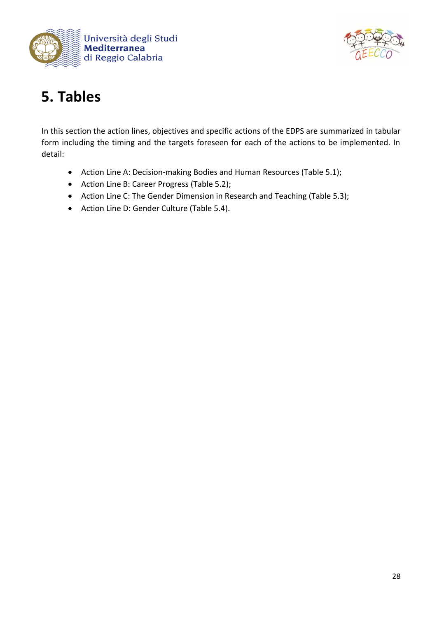



# **5. Tables**

In this section the action lines, objectives and specific actions of the EDPS are summarized in tabular form including the timing and the targets foreseen for each of the actions to be implemented. In detail:

- Action Line A: Decision-making Bodies and Human Resources (Table 5.1);
- Action Line B: Career Progress (Table 5.2);
- Action Line C: The Gender Dimension in Research and Teaching (Table 5.3);
- Action Line D: Gender Culture (Table 5.4).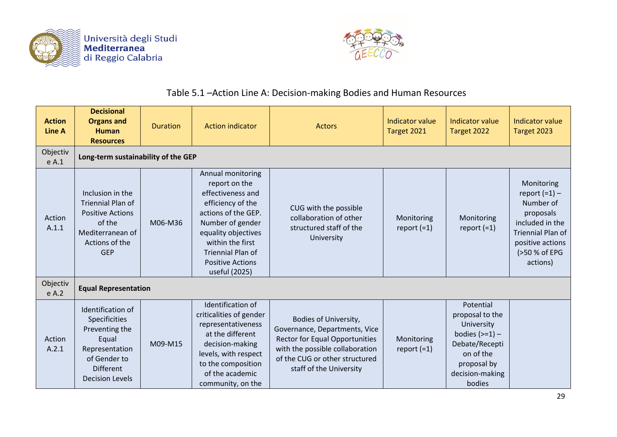



# Table 5.1 –Action Line A: Decision-making Bodies and Human Resources

| <b>Action</b><br><b>Line A</b> | <b>Decisional</b><br><b>Organs and</b><br><b>Human</b><br><b>Resources</b>                                                                    | <b>Duration</b> | <b>Action indicator</b>                                                                                                                                                                                                                    | <b>Actors</b>                                                                                                                                                                                   | <b>Indicator value</b><br>Target 2021 | <b>Indicator value</b><br>Target 2022                                                                                                     | <b>Indicator value</b><br>Target 2023                                                                                                                   |
|--------------------------------|-----------------------------------------------------------------------------------------------------------------------------------------------|-----------------|--------------------------------------------------------------------------------------------------------------------------------------------------------------------------------------------------------------------------------------------|-------------------------------------------------------------------------------------------------------------------------------------------------------------------------------------------------|---------------------------------------|-------------------------------------------------------------------------------------------------------------------------------------------|---------------------------------------------------------------------------------------------------------------------------------------------------------|
| Objectiv<br>e A.1              | Long-term sustainability of the GEP                                                                                                           |                 |                                                                                                                                                                                                                                            |                                                                                                                                                                                                 |                                       |                                                                                                                                           |                                                                                                                                                         |
| Action<br>A.1.1                | Inclusion in the<br><b>Triennial Plan of</b><br><b>Positive Actions</b><br>of the<br>Mediterranean of<br>Actions of the<br><b>GEP</b>         | M06-M36         | Annual monitoring<br>report on the<br>effectiveness and<br>efficiency of the<br>actions of the GEP.<br>Number of gender<br>equality objectives<br>within the first<br><b>Triennial Plan of</b><br><b>Positive Actions</b><br>useful (2025) | CUG with the possible<br>collaboration of other<br>structured staff of the<br>University                                                                                                        | Monitoring<br>report $(=1)$           | Monitoring<br>report $(=1)$                                                                                                               | Monitoring<br>report $(=1)$ –<br>Number of<br>proposals<br>included in the<br><b>Triennial Plan of</b><br>positive actions<br>(>50 % of EPG<br>actions) |
| Objectiv<br>e A.2              | <b>Equal Representation</b>                                                                                                                   |                 |                                                                                                                                                                                                                                            |                                                                                                                                                                                                 |                                       |                                                                                                                                           |                                                                                                                                                         |
| Action<br>A.2.1                | Identification of<br>Specificities<br>Preventing the<br>Equal<br>Representation<br>of Gender to<br><b>Different</b><br><b>Decision Levels</b> | M09-M15         | Identification of<br>criticalities of gender<br>representativeness<br>at the different<br>decision-making<br>levels, with respect<br>to the composition<br>of the academic<br>community, on the                                            | Bodies of University,<br>Governance, Departments, Vice<br><b>Rector for Equal Opportunities</b><br>with the possible collaboration<br>of the CUG or other structured<br>staff of the University | Monitoring<br>report $(=1)$           | Potential<br>proposal to the<br>University<br>bodies $(>=1)$ –<br>Debate/Recepti<br>on of the<br>proposal by<br>decision-making<br>bodies |                                                                                                                                                         |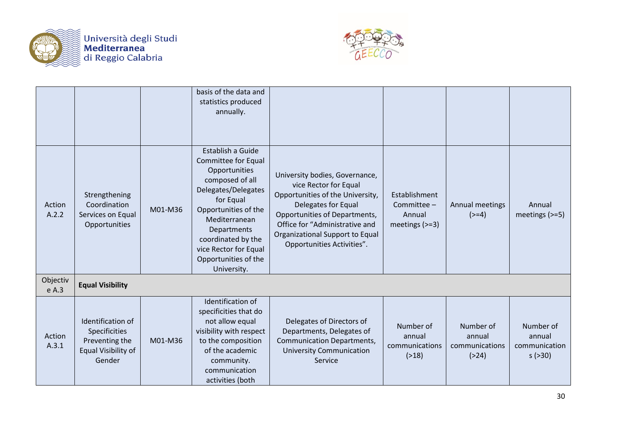



|                   |                                                                                       |         | basis of the data and<br>statistics produced<br>annually.                                                                                                                                                                                                      |                                                                                                                                                                                                                                                        |                                                            |                                                  |                                                       |
|-------------------|---------------------------------------------------------------------------------------|---------|----------------------------------------------------------------------------------------------------------------------------------------------------------------------------------------------------------------------------------------------------------------|--------------------------------------------------------------------------------------------------------------------------------------------------------------------------------------------------------------------------------------------------------|------------------------------------------------------------|--------------------------------------------------|-------------------------------------------------------|
| Action<br>A.2.2   | Strengthening<br>Coordination<br>Services on Equal<br>Opportunities                   | M01-M36 | Establish a Guide<br>Committee for Equal<br>Opportunities<br>composed of all<br>Delegates/Delegates<br>for Equal<br>Opportunities of the<br>Mediterranean<br>Departments<br>coordinated by the<br>vice Rector for Equal<br>Opportunities of the<br>University. | University bodies, Governance,<br>vice Rector for Equal<br>Opportunities of the University,<br>Delegates for Equal<br>Opportunities of Departments,<br>Office for "Administrative and<br>Organizational Support to Equal<br>Opportunities Activities". | Establishment<br>Committee -<br>Annual<br>meetings $(>=3)$ | Annual meetings<br>$(>=4)$                       | Annual<br>meetings $(>=5)$                            |
| Objectiv<br>e A.3 | <b>Equal Visibility</b>                                                               |         |                                                                                                                                                                                                                                                                |                                                                                                                                                                                                                                                        |                                                            |                                                  |                                                       |
| Action<br>A.3.1   | Identification of<br>Specificities<br>Preventing the<br>Equal Visibility of<br>Gender | M01-M36 | Identification of<br>specificities that do<br>not allow equal<br>visibility with respect<br>to the composition<br>of the academic<br>community.<br>communication<br>activities (both                                                                           | Delegates of Directors of<br>Departments, Delegates of<br><b>Communication Departments,</b><br><b>University Communication</b><br>Service                                                                                                              | Number of<br>annual<br>communications<br>( > 18)           | Number of<br>annual<br>communications<br>( > 24) | Number of<br>annual<br>communication<br>$s$ ( $>30$ ) |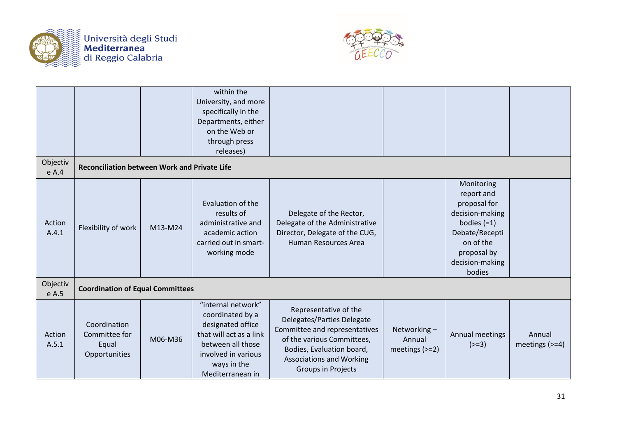



| Objectiv          |                                                         |         | within the<br>University, and more<br>specifically in the<br>Departments, either<br>on the Web or<br>through press<br>releases)                                       |                                                                                                                                                                                                          |                                           |                                                                                                                                                         |                            |
|-------------------|---------------------------------------------------------|---------|-----------------------------------------------------------------------------------------------------------------------------------------------------------------------|----------------------------------------------------------------------------------------------------------------------------------------------------------------------------------------------------------|-------------------------------------------|---------------------------------------------------------------------------------------------------------------------------------------------------------|----------------------------|
| e A.4             | <b>Reconciliation between Work and Private Life</b>     |         |                                                                                                                                                                       |                                                                                                                                                                                                          |                                           |                                                                                                                                                         |                            |
| Action<br>A.4.1   | Flexibility of work                                     | M13-M24 | Evaluation of the<br>results of<br>administrative and<br>academic action<br>carried out in smart-<br>working mode                                                     | Delegate of the Rector,<br>Delegate of the Administrative<br>Director, Delegate of the CUG,<br>Human Resources Area                                                                                      |                                           | Monitoring<br>report and<br>proposal for<br>decision-making<br>bodies $(=1)$<br>Debate/Recepti<br>on of the<br>proposal by<br>decision-making<br>bodies |                            |
| Objectiv<br>e A.5 | <b>Coordination of Equal Committees</b>                 |         |                                                                                                                                                                       |                                                                                                                                                                                                          |                                           |                                                                                                                                                         |                            |
| Action<br>A.5.1   | Coordination<br>Committee for<br>Equal<br>Opportunities | M06-M36 | "internal network"<br>coordinated by a<br>designated office<br>that will act as a link<br>between all those<br>involved in various<br>ways in the<br>Mediterranean in | Representative of the<br>Delegates/Parties Delegate<br>Committee and representatives<br>of the various Committees,<br>Bodies, Evaluation board,<br><b>Associations and Working</b><br>Groups in Projects | Networking-<br>Annual<br>meetings $(>=2)$ | Annual meetings<br>$(>=3)$                                                                                                                              | Annual<br>meetings $(>=4)$ |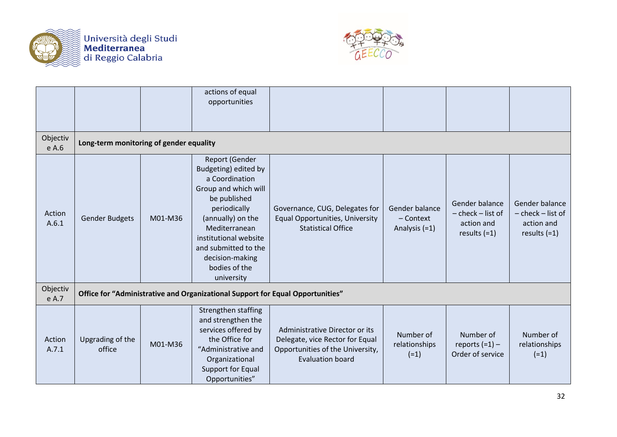



|                   |                                         |         | actions of equal<br>opportunities                                                                                                                                                                                                                                |                                                                                                                                  |                                              |                                                                         |                                                                     |
|-------------------|-----------------------------------------|---------|------------------------------------------------------------------------------------------------------------------------------------------------------------------------------------------------------------------------------------------------------------------|----------------------------------------------------------------------------------------------------------------------------------|----------------------------------------------|-------------------------------------------------------------------------|---------------------------------------------------------------------|
| Objectiv<br>e A.6 | Long-term monitoring of gender equality |         |                                                                                                                                                                                                                                                                  |                                                                                                                                  |                                              |                                                                         |                                                                     |
| Action<br>A.6.1   | <b>Gender Budgets</b>                   | M01-M36 | <b>Report (Gender</b><br>Budgeting) edited by<br>a Coordination<br>Group and which will<br>be published<br>periodically<br>(annually) on the<br>Mediterranean<br>institutional website<br>and submitted to the<br>decision-making<br>bodies of the<br>university | Governance, CUG, Delegates for<br><b>Equal Opportunities, University</b><br><b>Statistical Office</b>                            | Gender balance<br>- Context<br>Analysis (=1) | Gender balance<br>$-$ check $-$ list of<br>action and<br>results $(=1)$ | Gender balance<br>- check - list of<br>action and<br>results $(=1)$ |
| Objectiv<br>e A.7 |                                         |         | Office for "Administrative and Organizational Support for Equal Opportunities"                                                                                                                                                                                   |                                                                                                                                  |                                              |                                                                         |                                                                     |
| Action<br>A.7.1   | Upgrading of the<br>office              | M01-M36 | Strengthen staffing<br>and strengthen the<br>services offered by<br>the Office for<br>"Administrative and<br>Organizational<br>Support for Equal<br>Opportunities"                                                                                               | Administrative Director or its<br>Delegate, vice Rector for Equal<br>Opportunities of the University,<br><b>Evaluation board</b> | Number of<br>relationships<br>$(=1)$         | Number of<br>reports $(=1)$ –<br>Order of service                       | Number of<br>relationships<br>$(=1)$                                |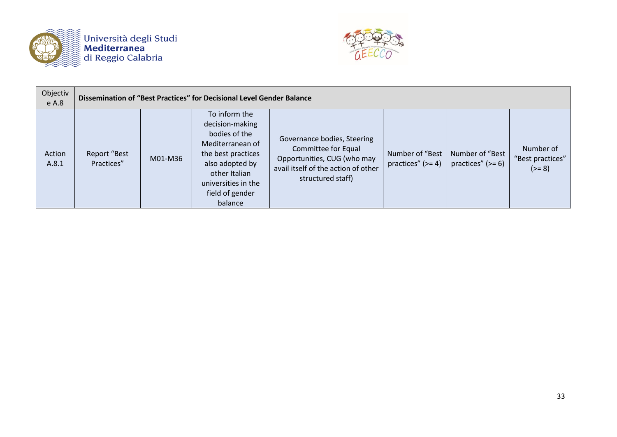



| Objectiv<br>e A.8 | Dissemination of "Best Practices" for Decisional Level Gender Balance |         |                                                                                                                                                                                      |                                                                                                                                               |                                        |                                        |                                           |
|-------------------|-----------------------------------------------------------------------|---------|--------------------------------------------------------------------------------------------------------------------------------------------------------------------------------------|-----------------------------------------------------------------------------------------------------------------------------------------------|----------------------------------------|----------------------------------------|-------------------------------------------|
| Action<br>A.8.1   | Report "Best<br>Practices"                                            | M01-M36 | To inform the<br>decision-making<br>bodies of the<br>Mediterranean of<br>the best practices<br>also adopted by<br>other Italian<br>universities in the<br>field of gender<br>balance | Governance bodies, Steering<br>Committee for Equal<br>Opportunities, CUG (who may<br>avail itself of the action of other<br>structured staff) | Number of "Best<br>practices" $(>= 4)$ | Number of "Best<br>practices" $(>= 6)$ | Number of<br>"Best practices"<br>$(>= 8)$ |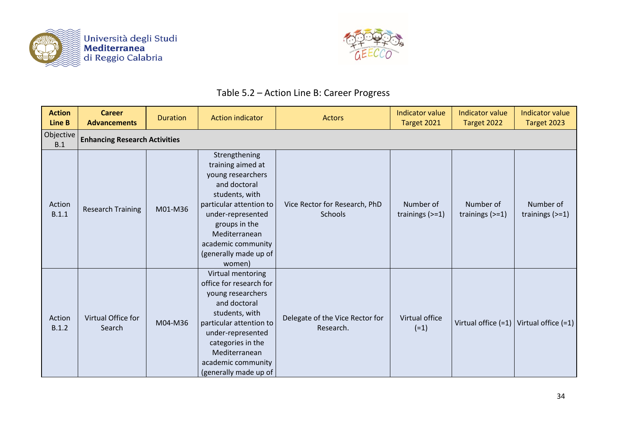



# Table 5.2 – Action Line B: Career Progress

| <b>Action</b><br><b>Line B</b> | <b>Career</b><br><b>Advancements</b> | <b>Duration</b> | <b>Action indicator</b>                                                                                                                                                                                                                  | Actors                                       | <b>Indicator value</b><br>Target 2021 | <b>Indicator value</b><br>Target 2022 | <b>Indicator value</b><br>Target 2023       |
|--------------------------------|--------------------------------------|-----------------|------------------------------------------------------------------------------------------------------------------------------------------------------------------------------------------------------------------------------------------|----------------------------------------------|---------------------------------------|---------------------------------------|---------------------------------------------|
| Objective<br>B.1               | <b>Enhancing Research Activities</b> |                 |                                                                                                                                                                                                                                          |                                              |                                       |                                       |                                             |
| Action<br>B.1.1                | <b>Research Training</b>             | M01-M36         | Strengthening<br>training aimed at<br>young researchers<br>and doctoral<br>students, with<br>particular attention to<br>under-represented<br>groups in the<br>Mediterranean<br>academic community<br>(generally made up of<br>women)     | Vice Rector for Research, PhD<br>Schools     | Number of<br>trainings $(>=1)$        | Number of<br>trainings $(>=1)$        | Number of<br>trainings $(>=1)$              |
| Action<br>B.1.2                | Virtual Office for<br>Search         | M04-M36         | Virtual mentoring<br>office for research for<br>young researchers<br>and doctoral<br>students, with<br>particular attention to<br>under-represented<br>categories in the<br>Mediterranean<br>academic community<br>(generally made up of | Delegate of the Vice Rector for<br>Research. | Virtual office<br>$(=1)$              |                                       | Virtual office $(=1)$ Virtual office $(=1)$ |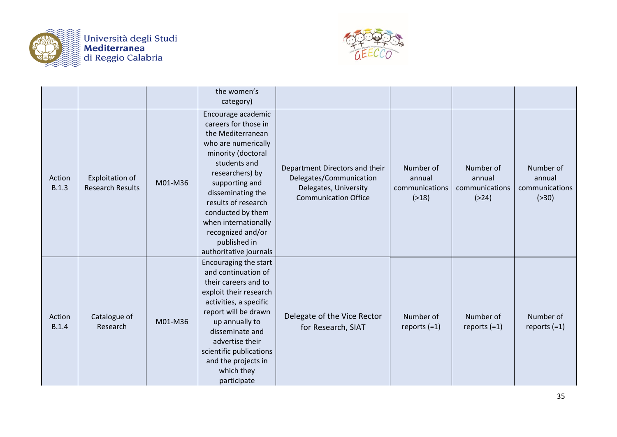



|                        |                                            |         | the women's<br>category)                                                                                                                                                                                                                                                                                                  |                                                                                                                   |                                                  |                                                  |                                                  |
|------------------------|--------------------------------------------|---------|---------------------------------------------------------------------------------------------------------------------------------------------------------------------------------------------------------------------------------------------------------------------------------------------------------------------------|-------------------------------------------------------------------------------------------------------------------|--------------------------------------------------|--------------------------------------------------|--------------------------------------------------|
| Action<br>B.1.3        | Exploitation of<br><b>Research Results</b> | M01-M36 | Encourage academic<br>careers for those in<br>the Mediterranean<br>who are numerically<br>minority (doctoral<br>students and<br>researchers) by<br>supporting and<br>disseminating the<br>results of research<br>conducted by them<br>when internationally<br>recognized and/or<br>published in<br>authoritative journals | Department Directors and their<br>Delegates/Communication<br>Delegates, University<br><b>Communication Office</b> | Number of<br>annual<br>communications<br>( > 18) | Number of<br>annual<br>communications<br>( > 24) | Number of<br>annual<br>communications<br>( > 30) |
| Action<br><b>B.1.4</b> | Catalogue of<br>Research                   | M01-M36 | Encouraging the start<br>and continuation of<br>their careers and to<br>exploit their research<br>activities, a specific<br>report will be drawn<br>up annually to<br>disseminate and<br>advertise their<br>scientific publications<br>and the projects in<br>which they<br>participate                                   | Delegate of the Vice Rector<br>for Research, SIAT                                                                 | Number of<br>reports $(=1)$                      | Number of<br>reports $(=1)$                      | Number of<br>reports $(=1)$                      |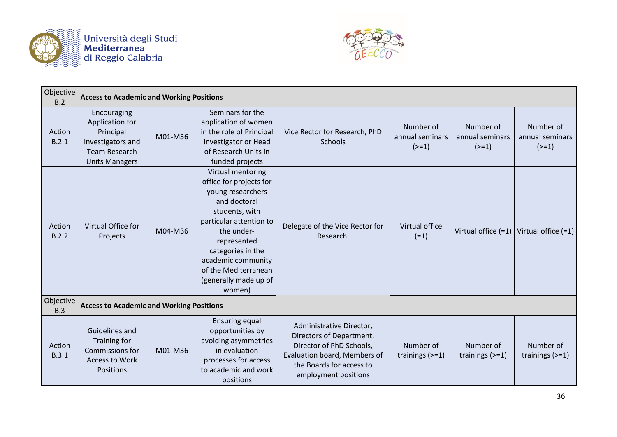



| Objective<br>B.2 | <b>Access to Academic and Working Positions</b>                                                                   |         |                                                                                                                                                                                                                                                                   |                                                                                                                                                                      |                                         |                                         |                                         |
|------------------|-------------------------------------------------------------------------------------------------------------------|---------|-------------------------------------------------------------------------------------------------------------------------------------------------------------------------------------------------------------------------------------------------------------------|----------------------------------------------------------------------------------------------------------------------------------------------------------------------|-----------------------------------------|-----------------------------------------|-----------------------------------------|
| Action<br>B.2.1  | Encouraging<br>Application for<br>Principal<br>Investigators and<br><b>Team Research</b><br><b>Units Managers</b> | M01-M36 | Seminars for the<br>application of women<br>in the role of Principal<br>Investigator or Head<br>of Research Units in<br>funded projects                                                                                                                           | Vice Rector for Research, PhD<br>Schools                                                                                                                             | Number of<br>annual seminars<br>$(>=1)$ | Number of<br>annual seminars<br>$(>=1)$ | Number of<br>annual seminars<br>$(>=1)$ |
| Action<br>B.2.2  | Virtual Office for<br>Projects                                                                                    | M04-M36 | Virtual mentoring<br>office for projects for<br>young researchers<br>and doctoral<br>students, with<br>particular attention to<br>the under-<br>represented<br>categories in the<br>academic community<br>of the Mediterranean<br>(generally made up of<br>women) | Delegate of the Vice Rector for<br>Research.                                                                                                                         | Virtual office<br>$(=1)$                | Virtual office (=1)                     | Virtual office $(=1)$                   |
| Objective<br>B.3 | <b>Access to Academic and Working Positions</b>                                                                   |         |                                                                                                                                                                                                                                                                   |                                                                                                                                                                      |                                         |                                         |                                         |
| Action<br>B.3.1  | Guidelines and<br>Training for<br>Commissions for<br><b>Access to Work</b><br>Positions                           | M01-M36 | <b>Ensuring equal</b><br>opportunities by<br>avoiding asymmetries<br>in evaluation<br>processes for access<br>to academic and work<br>positions                                                                                                                   | Administrative Director,<br>Directors of Department,<br>Director of PhD Schools,<br>Evaluation board, Members of<br>the Boards for access to<br>employment positions | Number of<br>trainings $(>=1)$          | Number of<br>trainings $(>=1)$          | Number of<br>trainings $(>=1)$          |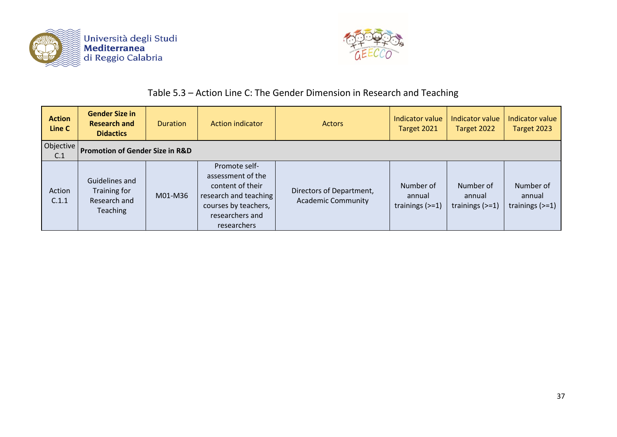



### Table 5.3 – Action Line C: The Gender Dimension in Research and Teaching

| <b>Action</b><br>Line C | <b>Gender Size in</b><br><b>Research and</b><br><b>Didactics</b>  | <b>Duration</b> | <b>Action indicator</b>                                                                                                                   | <b>Actors</b>                                         | Indicator value<br>Target 2021           | Indicator value<br>Target 2022           | Indicator value<br>Target 2023           |
|-------------------------|-------------------------------------------------------------------|-----------------|-------------------------------------------------------------------------------------------------------------------------------------------|-------------------------------------------------------|------------------------------------------|------------------------------------------|------------------------------------------|
| Objective<br>C.1        | <b>Promotion of Gender Size in R&amp;D</b>                        |                 |                                                                                                                                           |                                                       |                                          |                                          |                                          |
| Action<br>C.1.1         | Guidelines and<br>Training for<br>Research and<br><b>Teaching</b> | M01-M36         | Promote self-<br>assessment of the<br>content of their<br>research and teaching<br>courses by teachers,<br>researchers and<br>researchers | Directors of Department,<br><b>Academic Community</b> | Number of<br>annual<br>trainings $(>=1)$ | Number of<br>annual<br>trainings $(>=1)$ | Number of<br>annual<br>trainings $(>=1)$ |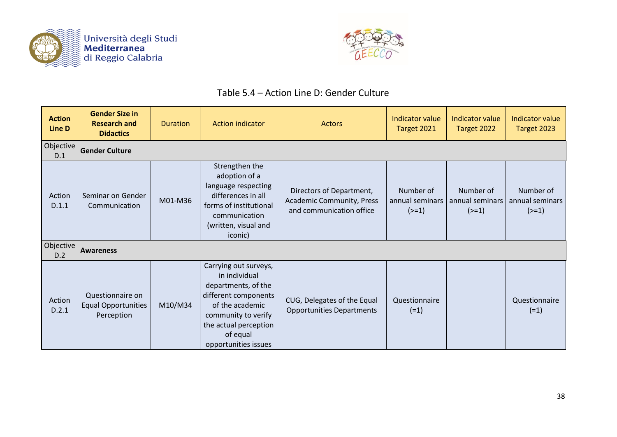



### Table 5.4 – Action Line D: Gender Culture

| <b>Action</b><br>Line D | <b>Gender Size in</b><br><b>Research and</b><br><b>Didactics</b> | <b>Duration</b> | <b>Action indicator</b>                                                                                                                                                                      | <b>Actors</b>                                                                     | <b>Indicator value</b><br>Target 2021   | Indicator value<br>Target 2022          | Indicator value<br>Target 2023          |
|-------------------------|------------------------------------------------------------------|-----------------|----------------------------------------------------------------------------------------------------------------------------------------------------------------------------------------------|-----------------------------------------------------------------------------------|-----------------------------------------|-----------------------------------------|-----------------------------------------|
| Objective<br>D.1        | <b>Gender Culture</b>                                            |                 |                                                                                                                                                                                              |                                                                                   |                                         |                                         |                                         |
| Action<br>D.1.1         | Seminar on Gender<br>Communication                               | M01-M36         | Strengthen the<br>adoption of a<br>language respecting<br>differences in all<br>forms of institutional<br>communication<br>(written, visual and<br>iconic)                                   | Directors of Department,<br>Academic Community, Press<br>and communication office | Number of<br>annual seminars<br>$(>=1)$ | Number of<br>annual seminars<br>$(>=1)$ | Number of<br>annual seminars<br>$(>=1)$ |
| Objective<br>D.2        | <b>Awareness</b>                                                 |                 |                                                                                                                                                                                              |                                                                                   |                                         |                                         |                                         |
| Action<br>D.2.1         | Questionnaire on<br><b>Equal Opportunities</b><br>Perception     | M10/M34         | Carrying out surveys,<br>in individual<br>departments, of the<br>different components<br>of the academic<br>community to verify<br>the actual perception<br>of equal<br>opportunities issues | CUG, Delegates of the Equal<br><b>Opportunities Departments</b>                   | Questionnaire<br>$(=1)$                 |                                         | Questionnaire<br>$(=1)$                 |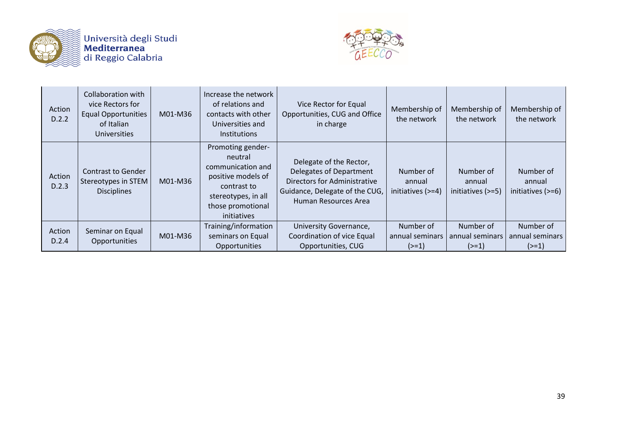

Università degli Studi<br>| **Mediterranea**<br>| di Reggio Calabria



| Action<br>D.2.2 | Collaboration with<br>vice Rectors for<br><b>Equal Opportunities</b><br>of Italian<br><b>Universities</b> | M01-M36 | Increase the network<br>of relations and<br>contacts with other<br>Universities and<br><b>Institutions</b>                                        | Vice Rector for Equal<br>Opportunities, CUG and Office<br>in charge                                                                                 | Membership of<br>the network             | Membership of<br>the network               | Membership of<br>the network               |
|-----------------|-----------------------------------------------------------------------------------------------------------|---------|---------------------------------------------------------------------------------------------------------------------------------------------------|-----------------------------------------------------------------------------------------------------------------------------------------------------|------------------------------------------|--------------------------------------------|--------------------------------------------|
| Action<br>D.2.3 | <b>Contrast to Gender</b><br>Stereotypes in STEM<br><b>Disciplines</b>                                    | M01-M36 | Promoting gender-<br>neutral<br>communication and<br>positive models of<br>contrast to<br>stereotypes, in all<br>those promotional<br>initiatives | Delegate of the Rector,<br>Delegates of Department<br><b>Directors for Administrative</b><br>Guidance, Delegate of the CUG,<br>Human Resources Area | Number of<br>annual<br>initiatives (>=4) | Number of<br>annual<br>initiatives $(>=5)$ | Number of<br>annual<br>initiatives $(>=6)$ |
| Action<br>D.2.4 | Seminar on Equal<br>Opportunities                                                                         | M01-M36 | Training/information<br>seminars on Equal<br>Opportunities                                                                                        | University Governance,<br>Coordination of vice Equal<br>Opportunities, CUG                                                                          | Number of<br>annual seminars<br>$(>=1)$  | Number of<br>annual seminars<br>$(>=1)$    | Number of<br>annual seminars<br>$(>=1)$    |